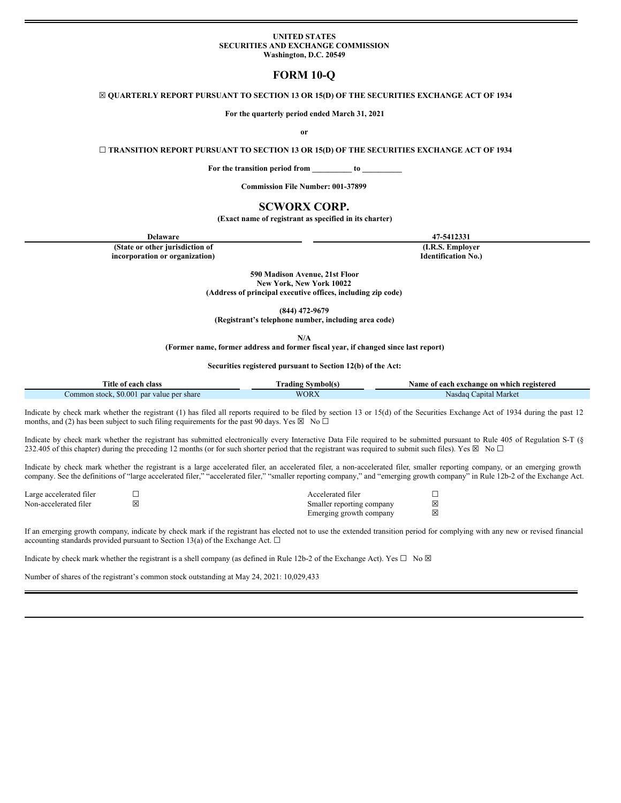### **UNITED STATES SECURITIES AND EXCHANGE COMMISSION Washington, D.C. 20549**

# **FORM 10-Q**

# ☒ **QUARTERLY REPORT PURSUANT TO SECTION 13 OR 15(D) OF THE SECURITIES EXCHANGE ACT OF 1934**

**For the quarterly period ended March 31, 2021**

**or**

☐ **TRANSITION REPORT PURSUANT TO SECTION 13 OR 15(D) OF THE SECURITIES EXCHANGE ACT OF 1934**

**For the transition period from \_\_\_\_\_\_\_\_\_\_ to \_\_\_\_\_\_\_\_\_\_**

**Commission File Number: 001-37899**

# **SCWORX CORP.**

### **(Exact name of registrant as specified in its charter)**

**(State or other jurisdiction of incorporation or organization)**

**Delaware 47-5412331**

**(I.R.S. Employer Identification No.)**

**590 Madison Avenue, 21st Floor New York, New York 10022**

**(Address of principal executive offices, including zip code)**

**(844) 472-9679**

**(Registrant's telephone number, including area code)**

**N/A**

**(Former name, former address and former fiscal year, if changed since last report)**

**Securities registered pursuant to Section 12(b) of the Act:**

| Title.<br>i each class<br>. OT                        | vmbol(s)<br>radıng | Name of each exchange on which registered |  |  |  |  |
|-------------------------------------------------------|--------------------|-------------------------------------------|--|--|--|--|
| .50.001<br>' stock.<br>ommon ·<br>par value per share | <b>WORX</b>        | ıl Market<br>Nasdag<br>ap <sub>112</sub>  |  |  |  |  |

Indicate by check mark whether the registrant (1) has filed all reports required to be filed by section 13 or 15(d) of the Securities Exchange Act of 1934 during the past 12 months, and (2) has been subject to such filing requirements for the past 90 days. Yes  $\boxtimes$  No  $\Box$ 

Indicate by check mark whether the registrant has submitted electronically every Interactive Data File required to be submitted pursuant to Rule 405 of Regulation S-T (§ 232.405 of this chapter) during the preceding 12 months (or for such shorter period that the registrant was required to submit such files). Yes  $\boxtimes$  No  $\Box$ 

Indicate by check mark whether the registrant is a large accelerated filer, an accelerated filer, a non-accelerated filer, smaller reporting company, or an emerging growth company. See the definitions of "large accelerated filer," "accelerated filer," "smaller reporting company," and "emerging growth company" in Rule 12b-2 of the Exchange Act.

Large accelerated filer ☐ Accelerated filer ☐

Smaller reporting company  $\boxtimes$ <br>Emerging growth company  $\boxtimes$ Emerging growth company

If an emerging growth company, indicate by check mark if the registrant has elected not to use the extended transition period for complying with any new or revised financial accounting standards provided pursuant to Section 13(a) of the Exchange Act.  $\square$ 

Indicate by check mark whether the registrant is a shell company (as defined in Rule 12b-2 of the Exchange Act). Yes  $\Box$  No  $\boxtimes$ 

Number of shares of the registrant's common stock outstanding at May 24, 2021: 10,029,433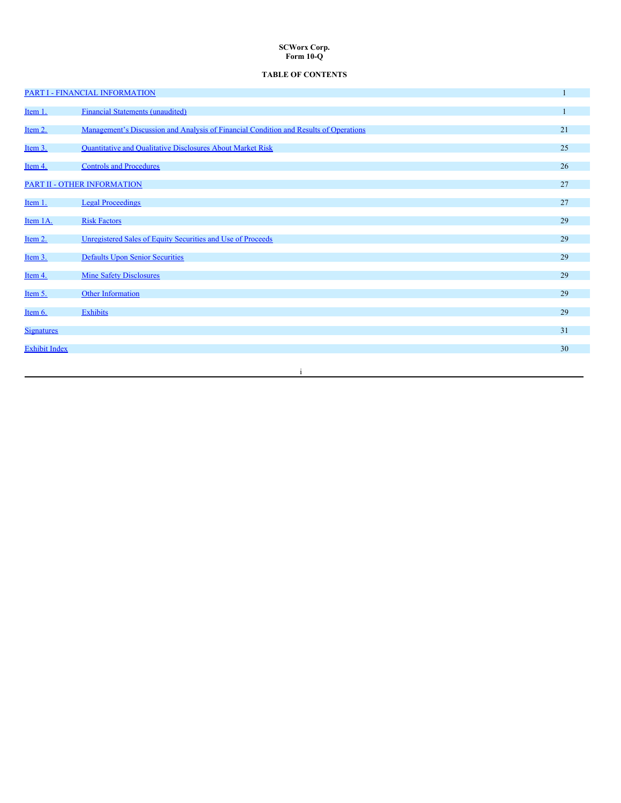### **SCWorx Corp. Form 10-Q**

# **TABLE OF CONTENTS**

|                      | PART I - FINANCIAL INFORMATION                                                               |    |
|----------------------|----------------------------------------------------------------------------------------------|----|
| Item 1.              | <b>Financial Statements (unaudited)</b>                                                      |    |
| Item 2.              | <u>Management's Discussion and Analysis of Financial Condition and Results of Operations</u> | 21 |
| Item 3.              | Quantitative and Qualitative Disclosures About Market Risk                                   | 25 |
| Item 4.              | <b>Controls and Procedures</b>                                                               | 26 |
|                      | PART II - OTHER INFORMATION                                                                  | 27 |
| Item 1.              | <b>Legal Proceedings</b>                                                                     | 27 |
| Item 1A.             | <b>Risk Factors</b>                                                                          | 29 |
| Item 2.              | Unregistered Sales of Equity Securities and Use of Proceeds                                  | 29 |
| Item 3.              | <b>Defaults Upon Senior Securities</b>                                                       | 29 |
| Item 4.              | <b>Mine Safety Disclosures</b>                                                               | 29 |
| Item 5.              | Other Information                                                                            | 29 |
| Item $6.$            | <b>Exhibits</b>                                                                              | 29 |
| <b>Signatures</b>    |                                                                                              | 31 |
| <b>Exhibit Index</b> |                                                                                              | 30 |
|                      | $\mathbf{1}$                                                                                 |    |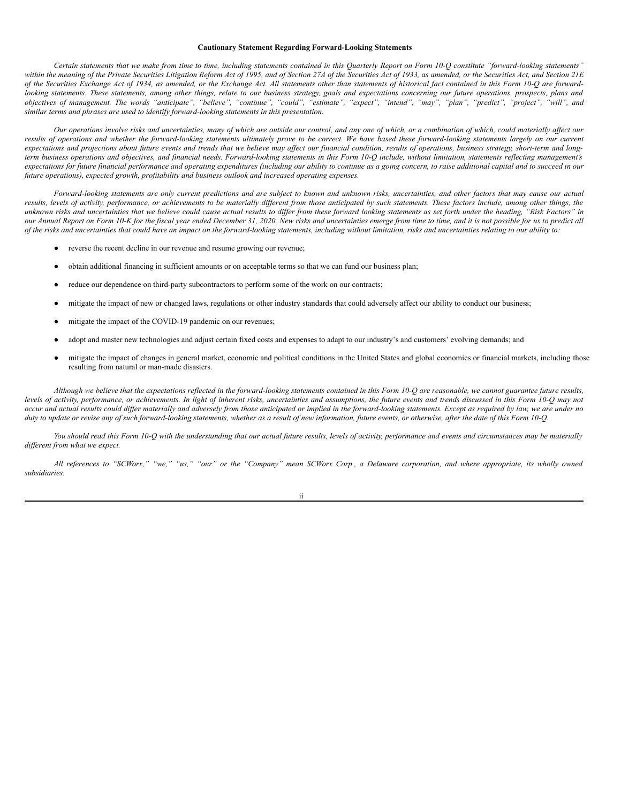#### **Cautionary Statement Regarding Forward-Looking Statements**

Certain statements that we make from time to time, including statements contained in this Quarterly Report on Form 10-Q constitute "forward-looking statements" within the meaning of the Private Securities Litigation Reform Act of 1995, and of Section 27A of the Securities Act of 1933, as amended, or the Securities Act, and Section 21E of the Securities Exchange Act of 1934, as amended, or the Exchange Act. All statements other than statements of historical fact contained in this Form 10-Q are forwardlooking statements. These statements, among other things, relate to our business strategy, goals and expectations concerning our future operations, prospects, plans and objectives of management. The words "anticipate", "believe", "continue", "could", "estimate", "expect", "intend", "may", "plan", "predict", "project", "will", and *similar terms and phrases are used to identify forward-looking statements in this presentation.*

Our operations involve risks and uncertainties, many of which are outside our control, and any one of which, or a combination of which, could materially affect our results of operations and whether the forward-looking statements ultimately prove to be correct. We have based these forward-looking statements largely on our current expectations and projections about future events and trends that we believe may affect our financial condition, results of operations, business strategy, short-term and longterm business operations and objectives, and financial needs. Forward-looking statements in this Form 10-Q include, without limitation, statements reflecting management's expectations for future financial performance and operating expenditures (including our ability to continue as a going concern, to raise additional capital and to succeed in our *future operations), expected growth, profitability and business outlook and increased operating expenses.*

Forward-looking statements are only current predictions and are subject to known and unknown risks, uncertainties, and other factors that may cause our actual results, levels of activity, performance, or achievements to be materially different from those anticipated by such statements. These factors include, among other things, the unknown risks and uncertainties that we believe could cause actual results to differ from these forward looking statements as set forth under the heading, "Risk Factors" in our Annual Report on Form 10-K for the fiscal year ended December 31, 2020. New risks and uncertainties emerge from time to time, and it is not possible for us to predict all of the risks and uncertainties that could have an impact on the forward-looking statements, including without limitation, risks and uncertainties relating to our ability to:

- reverse the recent decline in our revenue and resume growing our revenue;
- obtain additional financing in sufficient amounts or on acceptable terms so that we can fund our business plan;
- reduce our dependence on third-party subcontractors to perform some of the work on our contracts;
- mitigate the impact of new or changed laws, regulations or other industry standards that could adversely affect our ability to conduct our business;
- mitigate the impact of the COVID-19 pandemic on our revenues;
- adopt and master new technologies and adjust certain fixed costs and expenses to adapt to our industry's and customers' evolving demands; and
- mitigate the impact of changes in general market, economic and political conditions in the United States and global economies or financial markets, including those resulting from natural or man-made disasters.

Although we believe that the expectations reflected in the forward-looking statements contained in this Form 10-Q are reasonable, we cannot guarantee future results, levels of activity, performance, or achievements. In light of inherent risks, uncertainties and assumptions, the future events and trends discussed in this Form 10-Q may not occur and actual results could differ materially and adversely from those anticipated or implied in the forward-looking statements. Except as required by law, we are under no duty to update or revise any of such forward-looking statements, whether as a result of new information, future events, or otherwise, after the date of this Form 10-Q.

You should read this Form 10-Q with the understanding that our actual future results, levels of activity, performance and events and circumstances may be materially *dif erent from what we expect.*

All references to "SCWorx," "we," "us," "our" or the "Company" mean SCWorx Corp., a Delaware corporation, and where appropriate, its wholly owned *subsidiaries.*

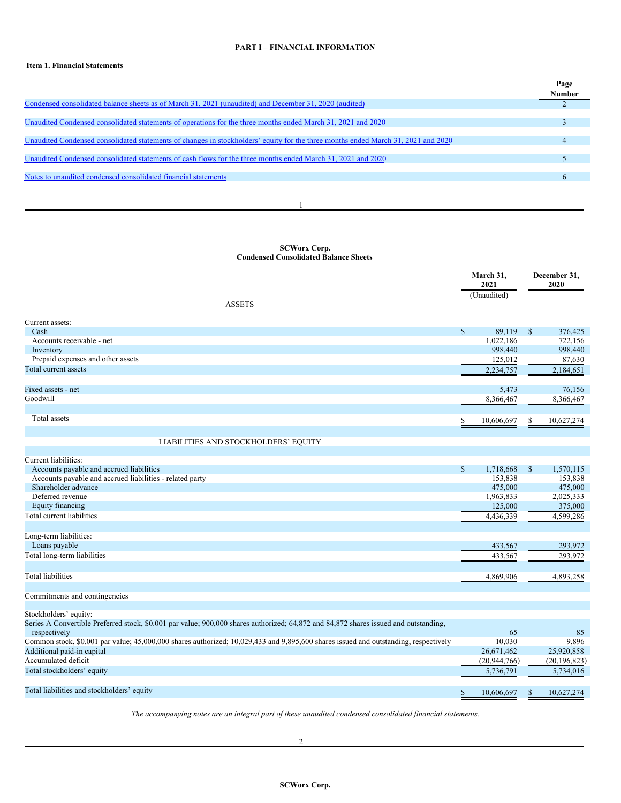# <span id="page-3-0"></span>**PART I – FINANCIAL INFORMATION**

# <span id="page-3-1"></span>**Item 1. Financial Statements**

|                                                                                                                                   | Page<br><b>Number</b> |
|-----------------------------------------------------------------------------------------------------------------------------------|-----------------------|
| Condensed consolidated balance sheets as of March 31, 2021 (unaudited) and December 31, 2020 (audited)                            |                       |
| Unaudited Condensed consolidated statements of operations for the three months ended March 31, 2021 and 2020                      |                       |
| Unaudited Condensed consolidated statements of changes in stockholders' equity for the three months ended March 31, 2021 and 2020 |                       |
| Unaudited Condensed consolidated statements of cash flows for the three months ended March 31, 2021 and 2020                      |                       |
| Notes to unaudited condensed consolidated financial statements                                                                    |                       |
|                                                                                                                                   |                       |

1

### <span id="page-3-2"></span>**SCWorx Corp. Condensed Consolidated Balance Sheets**

|                                                                                                                                                      | March 31,<br>2021 |                |               | December 31,<br>2020 |
|------------------------------------------------------------------------------------------------------------------------------------------------------|-------------------|----------------|---------------|----------------------|
| <b>ASSETS</b>                                                                                                                                        |                   | (Unaudited)    |               |                      |
| Current assets:                                                                                                                                      |                   |                |               |                      |
| Cash                                                                                                                                                 | $\mathbb S$       | 89,119         | $\mathsf{\$}$ | 376,425              |
| Accounts receivable - net                                                                                                                            |                   | 1.022.186      |               | 722.156              |
| Inventory                                                                                                                                            |                   | 998,440        |               | 998,440              |
| Prepaid expenses and other assets                                                                                                                    |                   | 125,012        |               | 87,630               |
| Total current assets                                                                                                                                 |                   | 2,234,757      |               | 2,184,651            |
| Fixed assets - net                                                                                                                                   |                   | 5,473          |               | 76,156               |
| Goodwill                                                                                                                                             |                   | 8,366,467      |               | 8,366,467            |
|                                                                                                                                                      |                   |                |               |                      |
| Total assets                                                                                                                                         | \$                | 10,606,697     | S.            | 10,627,274           |
|                                                                                                                                                      |                   |                |               |                      |
| LIABILITIES AND STOCKHOLDERS' EQUITY                                                                                                                 |                   |                |               |                      |
| Current liabilities:                                                                                                                                 |                   |                |               |                      |
| Accounts payable and accrued liabilities                                                                                                             | $\mathbb{S}$      | 1,718,668      | \$            | 1,570,115            |
| Accounts payable and accrued liabilities - related party                                                                                             |                   | 153,838        |               | 153,838              |
| Shareholder advance                                                                                                                                  |                   | 475,000        |               | 475,000              |
| Deferred revenue                                                                                                                                     |                   | 1,963,833      |               | 2,025,333            |
| Equity financing                                                                                                                                     |                   | 125,000        |               | 375,000              |
| Total current liabilities                                                                                                                            |                   | 4,436,339      |               | 4,599,286            |
| Long-term liabilities:                                                                                                                               |                   |                |               |                      |
| Loans payable                                                                                                                                        |                   | 433,567        |               | 293,972              |
| Total long-term liabilities                                                                                                                          |                   | 433,567        |               | 293,972              |
|                                                                                                                                                      |                   |                |               |                      |
| <b>Total liabilities</b>                                                                                                                             |                   | 4,869,906      |               | 4,893,258            |
|                                                                                                                                                      |                   |                |               |                      |
| Commitments and contingencies                                                                                                                        |                   |                |               |                      |
| Stockholders' equity:                                                                                                                                |                   |                |               |                      |
| Series A Convertible Preferred stock, \$0.001 par value; 900,000 shares authorized; 64,872 and 84,872 shares issued and outstanding,<br>respectively |                   | 65             |               | 85                   |
| Common stock, \$0.001 par value; 45,000,000 shares authorized; 10,029,433 and 9,895,600 shares issued and outstanding, respectively                  |                   | 10,030         |               | 9,896                |
| Additional paid-in capital                                                                                                                           |                   | 26,671,462     |               | 25,920,858           |
| Accumulated deficit                                                                                                                                  |                   | (20, 944, 766) |               | (20, 196, 823)       |
| Total stockholders' equity                                                                                                                           |                   | 5,736,791      |               | 5,734,016            |
|                                                                                                                                                      |                   |                |               |                      |
| Total liabilities and stockholders' equity                                                                                                           | $\mathbb{S}$      | 10,606,697     | \$            | 10,627,274           |

*The accompanying notes are an integral part of these unaudited condensed consolidated financial statements.*

<span id="page-3-3"></span>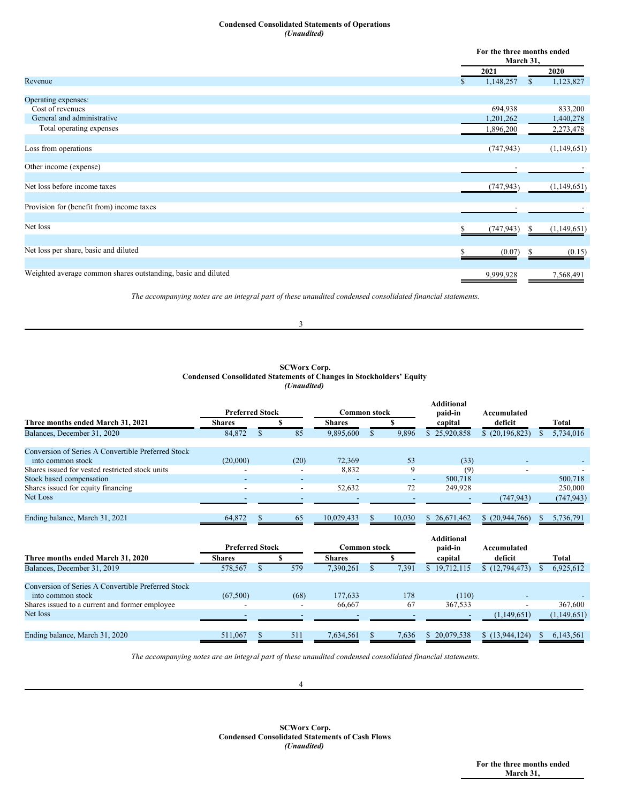# **Condensed Consolidated Statements of Operations** *(Unaudited)*

|                                                               |            | For the three months ended<br>March 31, |
|---------------------------------------------------------------|------------|-----------------------------------------|
|                                                               | 2021       | 2020                                    |
| Revenue                                                       | 1,148,257  | 1,123,827<br>\$                         |
|                                                               |            |                                         |
| Operating expenses:<br>Cost of revenues                       |            |                                         |
| General and administrative                                    | 694,938    | 833,200                                 |
|                                                               | 1,201,262  | 1,440,278                               |
| Total operating expenses                                      | 1,896,200  | 2,273,478                               |
|                                                               |            |                                         |
| Loss from operations                                          | (747, 943) | (1,149,651)                             |
|                                                               |            |                                         |
| Other income (expense)                                        |            |                                         |
|                                                               |            |                                         |
| Net loss before income taxes                                  | (747, 943) | (1,149,651)                             |
|                                                               |            |                                         |
| Provision for (benefit from) income taxes                     |            |                                         |
|                                                               |            |                                         |
|                                                               |            |                                         |
| Net loss                                                      | (747, 943) | (1,149,651)<br>S                        |
|                                                               |            |                                         |
| Net loss per share, basic and diluted                         | (0.07)     | (0.15)<br>S                             |
|                                                               |            |                                         |
|                                                               |            |                                         |
| Weighted average common shares outstanding, basic and diluted | 9,999,928  | 7,568,491                               |
|                                                               |            |                                         |

*The accompanying notes are an integral part of these unaudited condensed consolidated financial statements.*

<span id="page-4-0"></span>3

**SCWorx Corp. Condensed Consolidated Statements of Changes in Stockholders' Equity** *(Unaudited)*

|                                                    | <b>Preferred Stock</b>   |      | <b>Common stock</b> |                          | <b>Additional</b><br>paid-in | Accumulated              |            |
|----------------------------------------------------|--------------------------|------|---------------------|--------------------------|------------------------------|--------------------------|------------|
| Three months ended March 31, 2021                  | <b>Shares</b>            |      | <b>Shares</b>       |                          | capital                      | deficit                  | Total      |
| Balances, December 31, 2020                        | 84.872                   | 85   | 9.895.600           | 9.896                    | \$25,920,858                 | \$(20, 196, 823)         | 5,734,016  |
| Conversion of Series A Convertible Preferred Stock |                          |      |                     |                          |                              |                          |            |
| into common stock                                  | (20,000)                 | (20) | 72,369              | 53                       | (33)                         |                          |            |
| Shares issued for vested restricted stock units    |                          |      | 8,832               |                          | (9)                          | $\overline{\phantom{a}}$ |            |
| Stock based compensation                           | $\overline{\phantom{a}}$ |      | -                   | $\overline{\phantom{a}}$ | 500,718                      |                          | 500.718    |
| Shares issued for equity financing                 | $\sim$                   |      | 52,632              | 72                       | 249,928                      |                          | 250,000    |
| Net Loss                                           |                          |      |                     |                          |                              | (747, 943)               | (747, 943) |
| Ending balance, March 31, 2021                     | 64.872                   | 65   | 10.029.433          | 10.030                   | \$26,671,462                 | \$ (20.944.766)          | 5.736.791  |

|                                                                         | <b>Preferred Stock</b> |      | Common stock  |       | <b>Additional</b><br>paid-in | Accumulated              |               |
|-------------------------------------------------------------------------|------------------------|------|---------------|-------|------------------------------|--------------------------|---------------|
| Three months ended March 31, 2020                                       | <b>Shares</b>          |      | <b>Shares</b> |       | capital                      | deficit                  | Total         |
| Balances, December 31, 2019                                             | 578,567                | 579  | 7,390,261     | 7.391 | 19.712.115                   | (12,794,473)             | 6,925,612     |
| Conversion of Series A Convertible Preferred Stock<br>into common stock | (67,500)               | (68) | 177,633       | 178   | (110)                        | $\overline{\phantom{a}}$ |               |
| Shares issued to a current and former employee                          |                        |      | 66.667        | 67    | 367,533                      |                          | 367,600       |
| Net loss                                                                |                        |      |               |       |                              | (1,149,651)              | (1, 149, 651) |
| Ending balance, March 31, 2020                                          | 511,067                | 511  | 7,634,561     | 7,636 | 20,079,538                   | \$(13,944,124)           | 6,143,561     |

*The accompanying notes are an integral part of these unaudited condensed consolidated financial statements.*

<span id="page-4-1"></span>4

**SCWorx Corp. Condensed Consolidated Statements of Cash Flows** *(Unaudited)*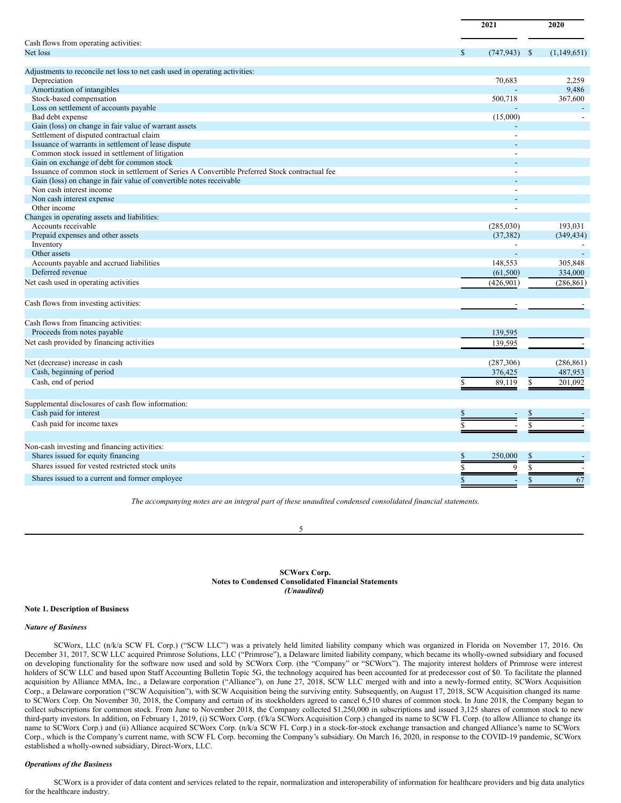|                                                                                                | 2021                      | 2020                           |
|------------------------------------------------------------------------------------------------|---------------------------|--------------------------------|
| Cash flows from operating activities:                                                          |                           |                                |
| Net loss                                                                                       | (747, 943)<br>$\mathbf S$ | (1, 149, 651)<br>$\mathcal{S}$ |
| Adjustments to reconcile net loss to net cash used in operating activities:                    |                           |                                |
| Depreciation                                                                                   | 70,683                    | 2,259                          |
| Amortization of intangibles                                                                    |                           | 9,486                          |
| Stock-based compensation                                                                       | 500,718                   | 367,600                        |
| Loss on settlement of accounts payable                                                         |                           |                                |
| Bad debt expense                                                                               | (15,000)                  |                                |
| Gain (loss) on change in fair value of warrant assets                                          |                           |                                |
| Settlement of disputed contractual claim                                                       |                           |                                |
| Issuance of warrants in settlement of lease dispute                                            |                           |                                |
| Common stock issued in settlement of litigation                                                |                           |                                |
| Gain on exchange of debt for common stock                                                      |                           |                                |
| Issuance of common stock in settlement of Series A Convertible Preferred Stock contractual fee |                           |                                |
| Gain (loss) on change in fair value of convertible notes receivable                            |                           |                                |
| Non cash interest income                                                                       |                           |                                |
| Non cash interest expense                                                                      |                           |                                |
| Other income                                                                                   |                           |                                |
| Changes in operating assets and liabilities:                                                   |                           |                                |
| Accounts receivable                                                                            | (285,030)                 | 193,031                        |
| Prepaid expenses and other assets                                                              | (37, 382)                 | (349, 434)                     |
| Inventory                                                                                      | $\overline{\phantom{a}}$  |                                |
| Other assets                                                                                   |                           |                                |
| Accounts payable and accrued liabilities                                                       | 148,553                   | 305,848                        |
| Deferred revenue                                                                               | (61,500)                  | 334,000                        |
| Net cash used in operating activities                                                          | (426, 901)                | (286, 861)                     |
| Cash flows from investing activities:                                                          |                           |                                |
| Cash flows from financing activities:                                                          |                           |                                |
| Proceeds from notes payable                                                                    | 139,595                   |                                |
| Net cash provided by financing activities                                                      | 139,595                   |                                |
| Net (decrease) increase in cash                                                                | (287, 306)                | (286, 861)                     |
| Cash, beginning of period                                                                      | 376,425                   | 487,953                        |
| Cash, end of period                                                                            | 89,119                    | 201.092<br>S                   |
|                                                                                                |                           |                                |
| Supplemental disclosures of cash flow information:                                             |                           |                                |
| Cash paid for interest                                                                         |                           |                                |
| Cash paid for income taxes                                                                     | $\sim$                    | S                              |
| Non-cash investing and financing activities:                                                   |                           |                                |
| Shares issued for equity financing                                                             | 250,000<br>\$             |                                |
| Shares issued for vested restricted stock units                                                | 9<br>S                    | S                              |
|                                                                                                |                           |                                |
| Shares issued to a current and former employee                                                 | S                         | $\mathbf{\$}$<br>67            |

*The accompanying notes are an integral part of these unaudited condensed consolidated financial statements.*

<span id="page-5-0"></span>5

**SCWorx Corp. Notes to Condensed Consolidated Financial Statements** *(Unaudited)*

### **Note 1. Description of Business**

# *Nature of Business*

SCWorx, LLC (n/k/a SCW FL Corp.) ("SCW LLC") was a privately held limited liability company which was organized in Florida on November 17, 2016. On December 31, 2017, SCW LLC acquired Primrose Solutions, LLC ("Primrose"), a Delaware limited liability company, which became its wholly-owned subsidiary and focused on developing functionality for the software now used and sold by SCWorx Corp. (the "Company" or "SCWorx"). The majority interest holders of Primrose were interest holders of SCW LLC and based upon Staff Accounting Bulletin Topic 5G, the technology acquired has been accounted for at predecessor cost of \$0. To facilitate the planned acquisition by Alliance MMA, Inc., a Delaware corporation ("Alliance"), on June 27, 2018, SCW LLC merged with and into a newly-formed entity, SCWorx Acquisition Corp., a Delaware corporation ("SCW Acquisition"), with SCW Acquisition being the surviving entity. Subsequently, on August 17, 2018, SCW Acquisition changed its name to SCWorx Corp. On November 30, 2018, the Company and certain of its stockholders agreed to cancel 6,510 shares of common stock. In June 2018, the Company began to collect subscriptions for common stock. From June to November 2018, the Company collected \$1,250,000 in subscriptions and issued 3,125 shares of common stock to new third-party investors. In addition, on February 1, 2019, (i) SCWorx Corp. (f/k/a SCWorx Acquisition Corp.) changed its name to SCW FL Corp. (to allow Alliance to change its name to SCWorx Corp.) and (ii) Alliance acquired SCWorx Corp. (n/k/a SCW FL Corp.) in a stock-for-stock exchange transaction and changed Alliance's name to SCWorx Corp., which is the Company's current name, with SCW FL Corp. becoming the Company's subsidiary. On March 16, 2020, in response to the COVID-19 pandemic, SCWorx established a wholly-owned subsidiary, Direct-Worx, LLC.

### *Operations of the Business*

SCWorx is a provider of data content and services related to the repair, normalization and interoperability of information for healthcare providers and big data analytics for the healthcare industry.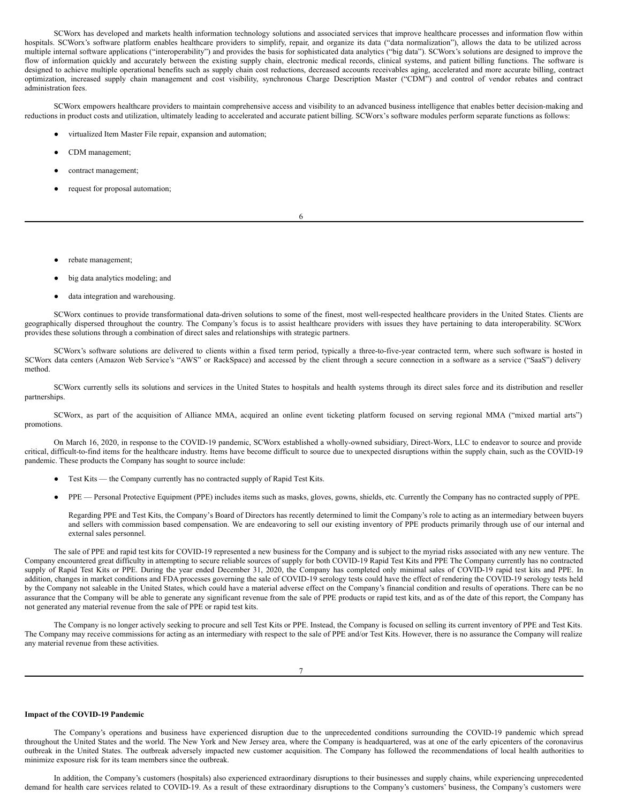SCWorx has developed and markets health information technology solutions and associated services that improve healthcare processes and information flow within hospitals. SCWorx's software platform enables healthcare providers to simplify, repair, and organize its data ("data normalization"), allows the data to be utilized across multiple internal software applications ("interoperability") and provides the basis for sophisticated data analytics ("big data"). SCWorx's solutions are designed to improve the flow of information quickly and accurately between the existing supply chain, electronic medical records, clinical systems, and patient billing functions. The software is designed to achieve multiple operational benefits such as supply chain cost reductions, decreased accounts receivables aging, accelerated and more accurate billing, contract optimization, increased supply chain management and cost visibility, synchronous Charge Description Master ("CDM") and control of vendor rebates and contract administration fees.

SCWorx empowers healthcare providers to maintain comprehensive access and visibility to an advanced business intelligence that enables better decision-making and reductions in product costs and utilization, ultimately leading to accelerated and accurate patient billing. SCWorx's software modules perform separate functions as follows:

- virtualized Item Master File repair, expansion and automation;
- CDM management;
- contract management;
- request for proposal automation;

6

- rebate management;
- big data analytics modeling; and
- data integration and warehousing.

SCWorx continues to provide transformational data-driven solutions to some of the finest, most well-respected healthcare providers in the United States. Clients are geographically dispersed throughout the country. The Company's focus is to assist healthcare providers with issues they have pertaining to data interoperability. SCWorx provides these solutions through a combination of direct sales and relationships with strategic partners.

SCWorx's software solutions are delivered to clients within a fixed term period, typically a three-to-five-year contracted term, where such software is hosted in SCWorx data centers (Amazon Web Service's "AWS" or RackSpace) and accessed by the client through a secure connection in a software as a service ("SaaS") delivery method.

SCWorx currently sells its solutions and services in the United States to hospitals and health systems through its direct sales force and its distribution and reseller partnerships.

SCWorx, as part of the acquisition of Alliance MMA, acquired an online event ticketing platform focused on serving regional MMA ("mixed martial arts") promotions.

On March 16, 2020, in response to the COVID-19 pandemic, SCWorx established a wholly-owned subsidiary, Direct-Worx, LLC to endeavor to source and provide critical, difficult-to-find items for the healthcare industry. Items have become difficult to source due to unexpected disruptions within the supply chain, such as the COVID-19 pandemic. These products the Company has sought to source include:

- Test Kits the Company currently has no contracted supply of Rapid Test Kits.
- PPE Personal Protective Equipment (PPE) includes items such as masks, gloves, gowns, shields, etc. Currently the Company has no contracted supply of PPE.

Regarding PPE and Test Kits, the Company's Board of Directors has recently determined to limit the Company's role to acting as an intermediary between buyers and sellers with commission based compensation. We are endeavoring to sell our existing inventory of PPE products primarily through use of our internal and external sales personnel.

The sale of PPE and rapid test kits for COVID-19 represented a new business for the Company and is subject to the myriad risks associated with any new venture. The Company encountered great difficulty in attempting to secure reliable sources of supply for both COVID-19 Rapid Test Kits and PPE The Company currently has no contracted supply of Rapid Test Kits or PPE. During the year ended December 31, 2020, the Company has completed only minimal sales of COVID-19 rapid test kits and PPE. In addition, changes in market conditions and FDA processes governing the sale of COVID-19 serology tests could have the effect of rendering the COVID-19 serology tests held by the Company not saleable in the United States, which could have a material adverse effect on the Company's financial condition and results of operations. There can be no assurance that the Company will be able to generate any significant revenue from the sale of PPE products or rapid test kits, and as of the date of this report, the Company has not generated any material revenue from the sale of PPE or rapid test kits.

The Company is no longer actively seeking to procure and sell Test Kits or PPE. Instead, the Company is focused on selling its current inventory of PPE and Test Kits. The Company may receive commissions for acting as an intermediary with respect to the sale of PPE and/or Test Kits. However, there is no assurance the Company will realize any material revenue from these activities.

### **Impact of the COVID-19 Pandemic**

The Company's operations and business have experienced disruption due to the unprecedented conditions surrounding the COVID-19 pandemic which spread throughout the United States and the world. The New York and New Jersey area, where the Company is headquartered, was at one of the early epicenters of the coronavirus outbreak in the United States. The outbreak adversely impacted new customer acquisition. The Company has followed the recommendations of local health authorities to minimize exposure risk for its team members since the outbreak.

In addition, the Company's customers (hospitals) also experienced extraordinary disruptions to their businesses and supply chains, while experiencing unprecedented demand for health care services related to COVID-19. As a result of these extraordinary disruptions to the Company's customers' business, the Company's customers were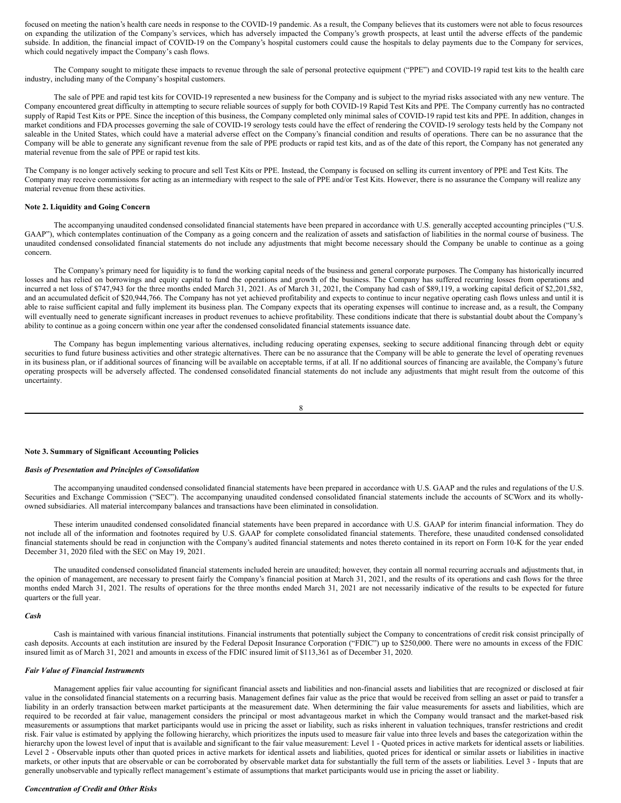focused on meeting the nation's health care needs in response to the COVID-19 pandemic. As a result, the Company believes that its customers were not able to focus resources on expanding the utilization of the Company's services, which has adversely impacted the Company's growth prospects, at least until the adverse effects of the pandemic subside. In addition, the financial impact of COVID-19 on the Company's hospital customers could cause the hospitals to delay payments due to the Company for services, which could negatively impact the Company's cash flows.

The Company sought to mitigate these impacts to revenue through the sale of personal protective equipment ("PPE") and COVID-19 rapid test kits to the health care industry, including many of the Company's hospital customers.

The sale of PPE and rapid test kits for COVID-19 represented a new business for the Company and is subject to the myriad risks associated with any new venture. The Company encountered great difficulty in attempting to secure reliable sources of supply for both COVID-19 Rapid Test Kits and PPE. The Company currently has no contracted supply of Rapid Test Kits or PPE. Since the inception of this business, the Company completed only minimal sales of COVID-19 rapid test kits and PPE. In addition, changes in market conditions and FDA processes governing the sale of COVID-19 serology tests could have the effect of rendering the COVID-19 serology tests held by the Company not saleable in the United States, which could have a material adverse effect on the Company's financial condition and results of operations. There can be no assurance that the Company will be able to generate any significant revenue from the sale of PPE products or rapid test kits, and as of the date of this report, the Company has not generated any material revenue from the sale of PPE or rapid test kits.

The Company is no longer actively seeking to procure and sell Test Kits or PPE. Instead, the Company is focused on selling its current inventory of PPE and Test Kits. The Company may receive commissions for acting as an intermediary with respect to the sale of PPE and/or Test Kits. However, there is no assurance the Company will realize any material revenue from these activities.

#### **Note 2. Liquidity and Going Concern**

The accompanying unaudited condensed consolidated financial statements have been prepared in accordance with U.S. generally accepted accounting principles ("U.S. GAAP"), which contemplates continuation of the Company as a going concern and the realization of assets and satisfaction of liabilities in the normal course of business. The unaudited condensed consolidated financial statements do not include any adjustments that might become necessary should the Company be unable to continue as a going concern.

The Company's primary need for liquidity is to fund the working capital needs of the business and general corporate purposes. The Company has historically incurred losses and has relied on borrowings and equity capital to fund the operations and growth of the business. The Company has suffered recurring losses from operations and incurred a net loss of \$747,943 for the three months ended March 31, 2021. As of March 31, 2021, the Company had cash of \$89,119, a working capital deficit of \$2,201,582, and an accumulated deficit of \$20,944,766. The Company has not yet achieved profitability and expects to continue to incur negative operating cash flows unless and until it is able to raise sufficient capital and fully implement its business plan. The Company expects that its operating expenses will continue to increase and, as a result, the Company will eventually need to generate significant increases in product revenues to achieve profitability. These conditions indicate that there is substantial doubt about the Company's ability to continue as a going concern within one year after the condensed consolidated financial statements issuance date.

The Company has begun implementing various alternatives, including reducing operating expenses, seeking to secure additional financing through debt or equity securities to fund future business activities and other strategic alternatives. There can be no assurance that the Company will be able to generate the level of operating revenues in its business plan, or if additional sources of financing will be available on acceptable terms, if at all. If no additional sources of financing are available, the Company's future operating prospects will be adversely affected. The condensed consolidated financial statements do not include any adjustments that might result from the outcome of this uncertainty.

$$
8 \\
$$

#### **Note 3. Summary of Significant Accounting Policies**

### *Basis of Presentation and Principles of Consolidation*

The accompanying unaudited condensed consolidated financial statements have been prepared in accordance with U.S. GAAP and the rules and regulations of the U.S. Securities and Exchange Commission ("SEC"). The accompanying unaudited condensed consolidated financial statements include the accounts of SCWorx and its whollyowned subsidiaries. All material intercompany balances and transactions have been eliminated in consolidation.

These interim unaudited condensed consolidated financial statements have been prepared in accordance with U.S. GAAP for interim financial information. They do not include all of the information and footnotes required by U.S. GAAP for complete consolidated financial statements. Therefore, these unaudited condensed consolidated financial statements should be read in conjunction with the Company's audited financial statements and notes thereto contained in its report on Form 10-K for the year ended December 31, 2020 filed with the SEC on May 19, 2021.

The unaudited condensed consolidated financial statements included herein are unaudited; however, they contain all normal recurring accruals and adjustments that, in the opinion of management, are necessary to present fairly the Company's financial position at March 31, 2021, and the results of its operations and cash flows for the three months ended March 31, 2021. The results of operations for the three months ended March 31, 2021 are not necessarily indicative of the results to be expected for future quarters or the full year.

#### *Cash*

Cash is maintained with various financial institutions. Financial instruments that potentially subject the Company to concentrations of credit risk consist principally of cash deposits. Accounts at each institution are insured by the Federal Deposit Insurance Corporation ("FDIC") up to \$250,000. There were no amounts in excess of the FDIC insured limit as of March 31, 2021 and amounts in excess of the FDIC insured limit of \$113,361 as of December 31, 2020.

### *Fair Value of Financial Instruments*

Management applies fair value accounting for significant financial assets and liabilities and non-financial assets and liabilities that are recognized or disclosed at fair value in the consolidated financial statements on a recurring basis. Management defines fair value as the price that would be received from selling an asset or paid to transfer a liability in an orderly transaction between market participants at the measurement date. When determining the fair value measurements for assets and liabilities, which are required to be recorded at fair value, management considers the principal or most advantageous market in which the Company would transact and the market-based risk measurements or assumptions that market participants would use in pricing the asset or liability, such as risks inherent in valuation techniques, transfer restrictions and credit risk. Fair value is estimated by applying the following hierarchy, which prioritizes the inputs used to measure fair value into three levels and bases the categorization within the hierarchy upon the lowest level of input that is available and significant to the fair value measurement: Level 1 - Quoted prices in active markets for identical assets or liabilities. Level 2 - Observable inputs other than quoted prices in active markets for identical assets and liabilities, quoted prices for identical or similar assets or liabilities in inactive markets, or other inputs that are observable or can be corroborated by observable market data for substantially the full term of the assets or liabilities. Level 3 - Inputs that are generally unobservable and typically reflect management's estimate of assumptions that market participants would use in pricing the asset or liability.

#### *Concentration of Credit and Other Risks*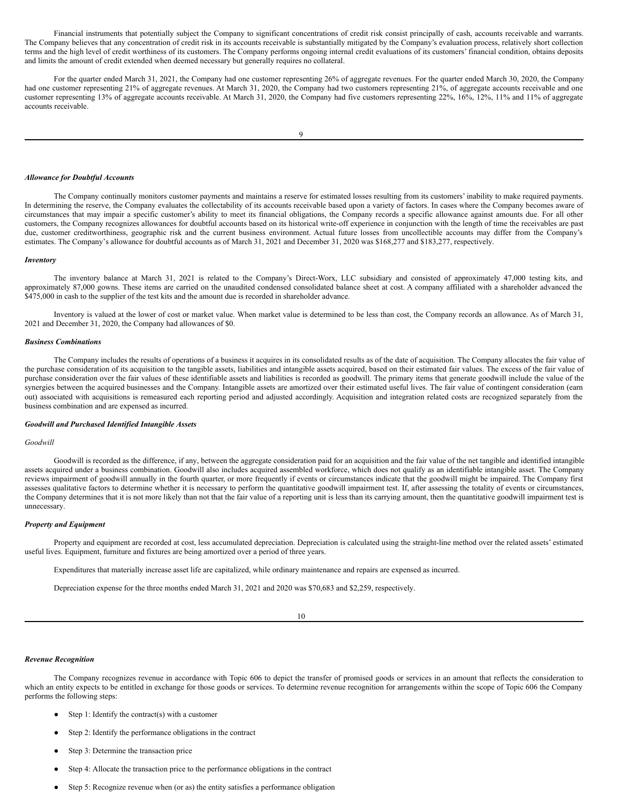Financial instruments that potentially subject the Company to significant concentrations of credit risk consist principally of cash, accounts receivable and warrants. The Company believes that any concentration of credit risk in its accounts receivable is substantially mitigated by the Company's evaluation process, relatively short collection terms and the high level of credit worthiness of its customers. The Company performs ongoing internal credit evaluations of its customers' financial condition, obtains deposits and limits the amount of credit extended when deemed necessary but generally requires no collateral.

For the quarter ended March 31, 2021, the Company had one customer representing 26% of aggregate revenues. For the quarter ended March 30, 2020, the Company had one customer representing 21% of aggregate revenues. At March 31, 2020, the Company had two customers representing 21%, of aggregate accounts receivable and one customer representing 13% of aggregate accounts receivable. At March 31, 2020, the Company had five customers representing 22%, 16%, 12%, 11% and 11% of aggregate accounts receivable.

#### *Allowance for Doubtful Accounts*

The Company continually monitors customer payments and maintains a reserve for estimated losses resulting from its customers' inability to make required payments. In determining the reserve, the Company evaluates the collectability of its accounts receivable based upon a variety of factors. In cases where the Company becomes aware of circumstances that may impair a specific customer's ability to meet its financial obligations, the Company records a specific allowance against amounts due. For all other customers, the Company recognizes allowances for doubtful accounts based on its historical write-off experience in conjunction with the length of time the receivables are past due, customer creditworthiness, geographic risk and the current business environment. Actual future losses from uncollectible accounts may differ from the Company's estimates. The Company's allowance for doubtful accounts as of March 31, 2021 and December 31, 2020 was \$168,277 and \$183,277, respectively.

### *Inventory*

The inventory balance at March 31, 2021 is related to the Company's Direct-Worx, LLC subsidiary and consisted of approximately 47,000 testing kits, and approximately 87,000 gowns. These items are carried on the unaudited condensed consolidated balance sheet at cost. A company affiliated with a shareholder advanced the \$475,000 in cash to the supplier of the test kits and the amount due is recorded in shareholder advance.

Inventory is valued at the lower of cost or market value. When market value is determined to be less than cost, the Company records an allowance. As of March 31, 2021 and December 31, 2020, the Company had allowances of \$0.

#### *Business Combinations*

The Company includes the results of operations of a business it acquires in its consolidated results as of the date of acquisition. The Company allocates the fair value of the purchase consideration of its acquisition to the tangible assets, liabilities and intangible assets acquired, based on their estimated fair values. The excess of the fair value of purchase consideration over the fair values of these identifiable assets and liabilities is recorded as goodwill. The primary items that generate goodwill include the value of the synergies between the acquired businesses and the Company. Intangible assets are amortized over their estimated useful lives. The fair value of contingent consideration (earn out) associated with acquisitions is remeasured each reporting period and adjusted accordingly. Acquisition and integration related costs are recognized separately from the business combination and are expensed as incurred.

#### *Goodwill and Purchased Identified Intangible Assets*

#### *Goodwill*

Goodwill is recorded as the difference, if any, between the aggregate consideration paid for an acquisition and the fair value of the net tangible and identified intangible assets acquired under a business combination. Goodwill also includes acquired assembled workforce, which does not qualify as an identifiable intangible asset. The Company reviews impairment of goodwill annually in the fourth quarter, or more frequently if events or circumstances indicate that the goodwill might be impaired. The Company first assesses qualitative factors to determine whether it is necessary to perform the quantitative goodwill impairment test. If, after assessing the totality of events or circumstances, the Company determines that it is not more likely than not that the fair value of a reporting unit is less than its carrying amount, then the quantitative goodwill impairment test is unnecessary.

# *Property and Equipment*

Property and equipment are recorded at cost, less accumulated depreciation. Depreciation is calculated using the straight-line method over the related assets' estimated useful lives. Equipment, furniture and fixtures are being amortized over a period of three years.

Expenditures that materially increase asset life are capitalized, while ordinary maintenance and repairs are expensed as incurred.

Depreciation expense for the three months ended March 31, 2021 and 2020 was \$70,683 and \$2,259, respectively.

10

#### *Revenue Recognition*

The Company recognizes revenue in accordance with Topic 606 to depict the transfer of promised goods or services in an amount that reflects the consideration to which an entity expects to be entitled in exchange for those goods or services. To determine revenue recognition for arrangements within the scope of Topic 606 the Company performs the following steps:

- Step 1: Identify the contract(s) with a customer
- Step 2: Identify the performance obligations in the contract
- Step 3: Determine the transaction price
- Step 4: Allocate the transaction price to the performance obligations in the contract
- Step 5: Recognize revenue when (or as) the entity satisfies a performance obligation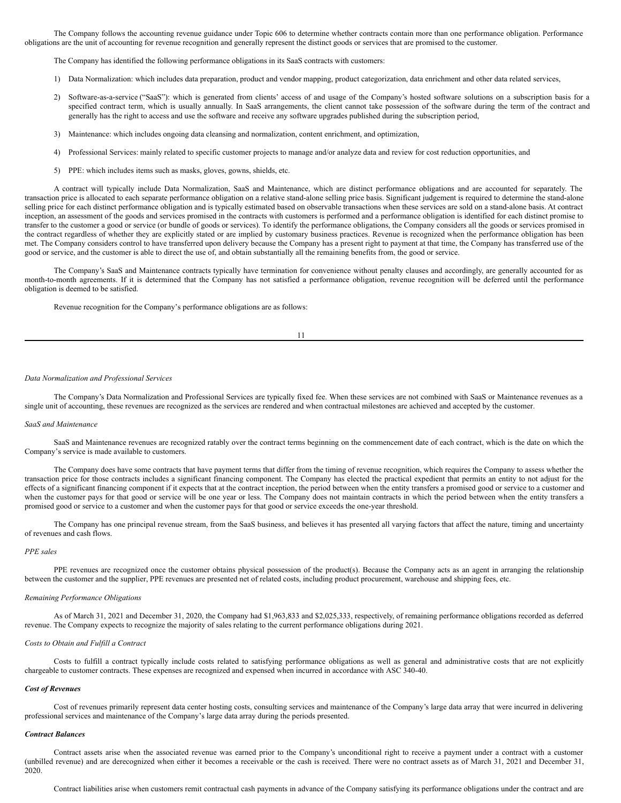The Company follows the accounting revenue guidance under Topic 606 to determine whether contracts contain more than one performance obligation. Performance obligations are the unit of accounting for revenue recognition and generally represent the distinct goods or services that are promised to the customer.

The Company has identified the following performance obligations in its SaaS contracts with customers:

- 1) Data Normalization: which includes data preparation, product and vendor mapping, product categorization, data enrichment and other data related services,
- 2) Software-as-a-service ("SaaS"): which is generated from clients' access of and usage of the Company's hosted software solutions on a subscription basis for a specified contract term, which is usually annually. In SaaS arrangements, the client cannot take possession of the software during the term of the contract and generally has the right to access and use the software and receive any software upgrades published during the subscription period,
- 3) Maintenance: which includes ongoing data cleansing and normalization, content enrichment, and optimization,
- 4) Professional Services: mainly related to specific customer projects to manage and/or analyze data and review for cost reduction opportunities, and
- 5) PPE: which includes items such as masks, gloves, gowns, shields, etc.

A contract will typically include Data Normalization, SaaS and Maintenance, which are distinct performance obligations and are accounted for separately. The transaction price is allocated to each separate performance obligation on a relative stand-alone selling price basis. Significant judgement is required to determine the stand-alone selling price for each distinct performance obligation and is typically estimated based on observable transactions when these services are sold on a stand-alone basis. At contract inception, an assessment of the goods and services promised in the contracts with customers is performed and a performance obligation is identified for each distinct promise to transfer to the customer a good or service (or bundle of goods or services). To identify the performance obligations, the Company considers all the goods or services promised in the contract regardless of whether they are explicitly stated or are implied by customary business practices. Revenue is recognized when the performance obligation has been met. The Company considers control to have transferred upon delivery because the Company has a present right to payment at that time, the Company has transferred use of the good or service, and the customer is able to direct the use of, and obtain substantially all the remaining benefits from, the good or service.

The Company's SaaS and Maintenance contracts typically have termination for convenience without penalty clauses and accordingly, are generally accounted for as month-to-month agreements. If it is determined that the Company has not satisfied a performance obligation, revenue recognition will be deferred until the performance obligation is deemed to be satisfied.

Revenue recognition for the Company's performance obligations are as follows:

11

#### *Data Normalization and Professional Services*

The Company's Data Normalization and Professional Services are typically fixed fee. When these services are not combined with SaaS or Maintenance revenues as a single unit of accounting, these revenues are recognized as the services are rendered and when contractual milestones are achieved and accepted by the customer.

#### *SaaS and Maintenance*

SaaS and Maintenance revenues are recognized ratably over the contract terms beginning on the commencement date of each contract, which is the date on which the Company's service is made available to customers.

The Company does have some contracts that have payment terms that differ from the timing of revenue recognition, which requires the Company to assess whether the transaction price for those contracts includes a significant financing component. The Company has elected the practical expedient that permits an entity to not adjust for the effects of a significant financing component if it expects that at the contract inception, the period between when the entity transfers a promised good or service to a customer and when the customer pays for that good or service will be one year or less. The Company does not maintain contracts in which the period between when the entity transfers a promised good or service to a customer and when the customer pays for that good or service exceeds the one-year threshold.

The Company has one principal revenue stream, from the SaaS business, and believes it has presented all varying factors that affect the nature, timing and uncertainty of revenues and cash flows.

### *PPE sales*

PPE revenues are recognized once the customer obtains physical possession of the product(s). Because the Company acts as an agent in arranging the relationship between the customer and the supplier, PPE revenues are presented net of related costs, including product procurement, warehouse and shipping fees, etc.

### *Remaining Performance Obligations*

As of March 31, 2021 and December 31, 2020, the Company had \$1,963,833 and \$2,025,333, respectively, of remaining performance obligations recorded as deferred revenue. The Company expects to recognize the majority of sales relating to the current performance obligations during 2021.

#### *Costs to Obtain and Fulfill a Contract*

Costs to fulfill a contract typically include costs related to satisfying performance obligations as well as general and administrative costs that are not explicitly chargeable to customer contracts. These expenses are recognized and expensed when incurred in accordance with ASC 340-40.

#### *Cost of Revenues*

Cost of revenues primarily represent data center hosting costs, consulting services and maintenance of the Company's large data array that were incurred in delivering professional services and maintenance of the Company's large data array during the periods presented.

### *Contract Balances*

Contract assets arise when the associated revenue was earned prior to the Company's unconditional right to receive a payment under a contract with a customer (unbilled revenue) and are derecognized when either it becomes a receivable or the cash is received. There were no contract assets as of March 31, 2021 and December 31, 2020.

Contract liabilities arise when customers remit contractual cash payments in advance of the Company satisfying its performance obligations under the contract and are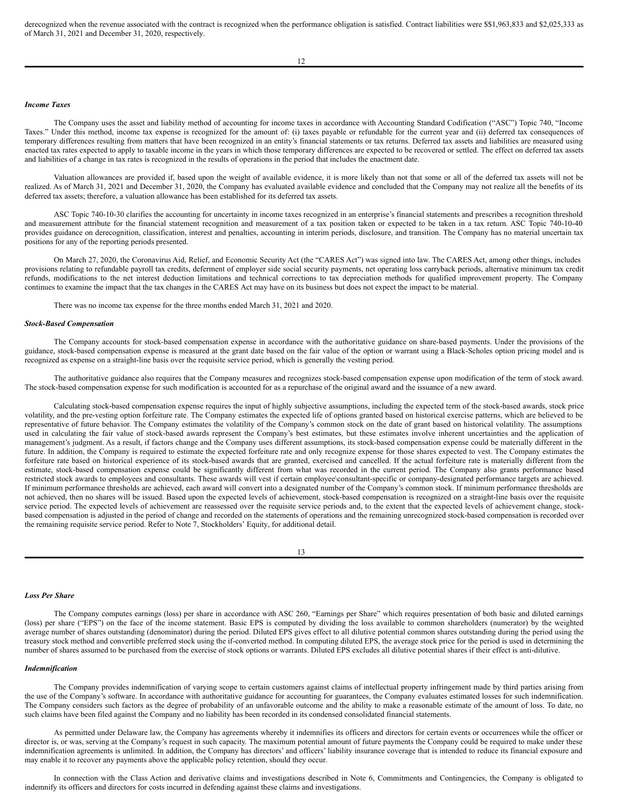derecognized when the revenue associated with the contract is recognized when the performance obligation is satisfied. Contract liabilities were \$\$1,963,833 and \$2,025,333 as of March 31, 2021 and December 31, 2020, respectively.

12

# *Income Taxes*

The Company uses the asset and liability method of accounting for income taxes in accordance with Accounting Standard Codification ("ASC") Topic 740, "Income Taxes." Under this method, income tax expense is recognized for the amount of: (i) taxes payable or refundable for the current year and (ii) deferred tax consequences of temporary differences resulting from matters that have been recognized in an entity's financial statements or tax returns. Deferred tax assets and liabilities are measured using enacted tax rates expected to apply to taxable income in the years in which those temporary differences are expected to be recovered or settled. The effect on deferred tax assets and liabilities of a change in tax rates is recognized in the results of operations in the period that includes the enactment date.

Valuation allowances are provided if, based upon the weight of available evidence, it is more likely than not that some or all of the deferred tax assets will not be realized. As of March 31, 2021 and December 31, 2020, the Company has evaluated available evidence and concluded that the Company may not realize all the benefits of its deferred tax assets; therefore, a valuation allowance has been established for its deferred tax assets.

ASC Topic 740-10-30 clarifies the accounting for uncertainty in income taxes recognized in an enterprise's financial statements and prescribes a recognition threshold and measurement attribute for the financial statement recognition and measurement of a tax position taken or expected to be taken in a tax return. ASC Topic 740-10-40 provides guidance on derecognition, classification, interest and penalties, accounting in interim periods, disclosure, and transition. The Company has no material uncertain tax positions for any of the reporting periods presented.

On March 27, 2020, the Coronavirus Aid, Relief, and Economic Security Act (the "CARES Act") was signed into law. The CARES Act, among other things, includes provisions relating to refundable payroll tax credits, deferment of employer side social security payments, net operating loss carryback periods, alternative minimum tax credit refunds, modifications to the net interest deduction limitations and technical corrections to tax depreciation methods for qualified improvement property. The Company continues to examine the impact that the tax changes in the CARES Act may have on its business but does not expect the impact to be material.

There was no income tax expense for the three months ended March 31, 2021 and 2020.

### *Stock-Based Compensation*

The Company accounts for stock-based compensation expense in accordance with the authoritative guidance on share-based payments. Under the provisions of the guidance, stock-based compensation expense is measured at the grant date based on the fair value of the option or warrant using a Black-Scholes option pricing model and is recognized as expense on a straight-line basis over the requisite service period, which is generally the vesting period.

The authoritative guidance also requires that the Company measures and recognizes stock-based compensation expense upon modification of the term of stock award. The stock-based compensation expense for such modification is accounted for as a repurchase of the original award and the issuance of a new award.

Calculating stock-based compensation expense requires the input of highly subjective assumptions, including the expected term of the stock-based awards, stock price volatility, and the pre-vesting option forfeiture rate. The Company estimates the expected life of options granted based on historical exercise patterns, which are believed to be representative of future behavior. The Company estimates the volatility of the Company's common stock on the date of grant based on historical volatility. The assumptions used in calculating the fair value of stock-based awards represent the Company's best estimates, but these estimates involve inherent uncertainties and the application of management's judgment. As a result, if factors change and the Company uses different assumptions, its stock-based compensation expense could be materially different in the future. In addition, the Company is required to estimate the expected forfeiture rate and only recognize expense for those shares expected to vest. The Company estimates the forfeiture rate based on historical experience of its stock-based awards that are granted, exercised and cancelled. If the actual forfeiture rate is materially different from the estimate, stock-based compensation expense could be significantly different from what was recorded in the current period. The Company also grants performance based restricted stock awards to employees and consultants. These awards will vest if certain employee\consultant-specific or company-designated performance targets are achieved. If minimum performance thresholds are achieved, each award will convert into a designated number of the Company's common stock. If minimum performance thresholds are not achieved, then no shares will be issued. Based upon the expected levels of achievement, stock-based compensation is recognized on a straight-line basis over the requisite service period. The expected levels of achievement are reassessed over the requisite service periods and, to the extent that the expected levels of achievement change, stockbased compensation is adjusted in the period of change and recorded on the statements of operations and the remaining unrecognized stock-based compensation is recorded over the remaining requisite service period. Refer to Note 7, Stockholders' Equity, for additional detail.

| I<br>I<br>×<br>v |
|------------------|

### *Loss Per Share*

The Company computes earnings (loss) per share in accordance with ASC 260, "Earnings per Share" which requires presentation of both basic and diluted earnings (loss) per share ("EPS") on the face of the income statement. Basic EPS is computed by dividing the loss available to common shareholders (numerator) by the weighted average number of shares outstanding (denominator) during the period. Diluted EPS gives effect to all dilutive potential common shares outstanding during the period using the treasury stock method and convertible preferred stock using the if-converted method. In computing diluted EPS, the average stock price for the period is used in determining the number of shares assumed to be purchased from the exercise of stock options or warrants. Diluted EPS excludes all dilutive potential shares if their effect is anti-dilutive.

### *Indemnification*

The Company provides indemnification of varying scope to certain customers against claims of intellectual property infringement made by third parties arising from the use of the Company's software. In accordance with authoritative guidance for accounting for guarantees, the Company evaluates estimated losses for such indemnification. The Company considers such factors as the degree of probability of an unfavorable outcome and the ability to make a reasonable estimate of the amount of loss. To date, no such claims have been filed against the Company and no liability has been recorded in its condensed consolidated financial statements.

As permitted under Delaware law, the Company has agreements whereby it indemnifies its officers and directors for certain events or occurrences while the officer or director is, or was, serving at the Company's request in such capacity. The maximum potential amount of future payments the Company could be required to make under these indemnification agreements is unlimited. In addition, the Company has directors' and officers' liability insurance coverage that is intended to reduce its financial exposure and may enable it to recover any payments above the applicable policy retention, should they occur.

In connection with the Class Action and derivative claims and investigations described in Note 6, Commitments and Contingencies, the Company is obligated to indemnify its officers and directors for costs incurred in defending against these claims and investigations.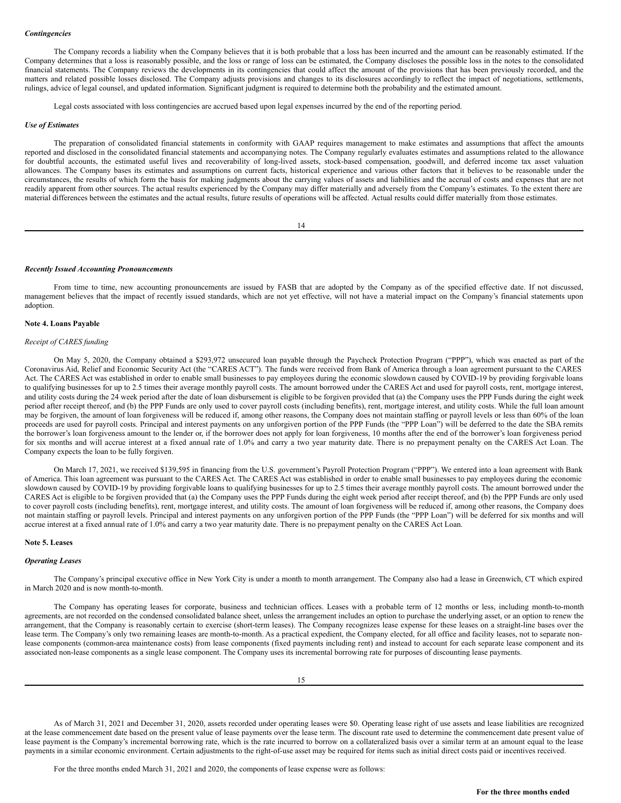#### *Contingencies*

The Company records a liability when the Company believes that it is both probable that a loss has been incurred and the amount can be reasonably estimated. If the Company determines that a loss is reasonably possible, and the loss or range of loss can be estimated, the Company discloses the possible loss in the notes to the consolidated financial statements. The Company reviews the developments in its contingencies that could affect the amount of the provisions that has been previously recorded, and the matters and related possible losses disclosed. The Company adjusts provisions and changes to its disclosures accordingly to reflect the impact of negotiations, settlements, rulings, advice of legal counsel, and updated information. Significant judgment is required to determine both the probability and the estimated amount.

Legal costs associated with loss contingencies are accrued based upon legal expenses incurred by the end of the reporting period.

#### *Use of Estimates*

The preparation of consolidated financial statements in conformity with GAAP requires management to make estimates and assumptions that affect the amounts reported and disclosed in the consolidated financial statements and accompanying notes. The Company regularly evaluates estimates and assumptions related to the allowance for doubtful accounts, the estimated useful lives and recoverability of long-lived assets, stock-based compensation, goodwill, and deferred income tax asset valuation allowances. The Company bases its estimates and assumptions on current facts, historical experience and various other factors that it believes to be reasonable under the circumstances, the results of which form the basis for making judgments about the carrying values of assets and liabilities and the accrual of costs and expenses that are not readily apparent from other sources. The actual results experienced by the Company may differ materially and adversely from the Company's estimates. To the extent there are material differences between the estimates and the actual results, future results of operations will be affected. Actual results could differ materially from those estimates.

### *Recently Issued Accounting Pronouncements*

From time to time, new accounting pronouncements are issued by FASB that are adopted by the Company as of the specified effective date. If not discussed, management believes that the impact of recently issued standards, which are not yet effective, will not have a material impact on the Company's financial statements upon adoption.

### **Note 4. Loans Payable**

### *Receipt of CARES funding*

On May 5, 2020, the Company obtained a \$293,972 unsecured loan payable through the Paycheck Protection Program ("PPP"), which was enacted as part of the Coronavirus Aid, Relief and Economic Security Act (the "CARES ACT"). The funds were received from Bank of America through a loan agreement pursuant to the CARES Act. The CARES Act was established in order to enable small businesses to pay employees during the economic slowdown caused by COVID-19 by providing forgivable loans to qualifying businesses for up to 2.5 times their average monthly payroll costs. The amount borrowed under the CARES Act and used for payroll costs, rent, mortgage interest, and utility costs during the 24 week period after the date of loan disbursement is eligible to be forgiven provided that (a) the Company uses the PPP Funds during the eight week period after receipt thereof, and (b) the PPP Funds are only used to cover payroll costs (including benefits), rent, mortgage interest, and utility costs. While the full loan amount may be forgiven, the amount of loan forgiveness will be reduced if, among other reasons, the Company does not maintain staffing or payroll levels or less than 60% of the loan proceeds are used for payroll costs. Principal and interest payments on any unforgiven portion of the PPP Funds (the "PPP Loan") will be deferred to the date the SBA remits the borrower's loan forgiveness amount to the lender or, if the borrower does not apply for loan forgiveness, 10 months after the end of the borrower's loan forgiveness period for six months and will accrue interest at a fixed annual rate of 1.0% and carry a two year maturity date. There is no prepayment penalty on the CARES Act Loan. The Company expects the loan to be fully forgiven.

On March 17, 2021, we received \$139,595 in financing from the U.S. government's Payroll Protection Program ("PPP"). We entered into a loan agreement with Bank of America. This loan agreement was pursuant to the CARES Act. The CARES Act was established in order to enable small businesses to pay employees during the economic slowdown caused by COVID-19 by providing forgivable loans to qualifying businesses for up to 2.5 times their average monthly payroll costs. The amount borrowed under the CARES Act is eligible to be forgiven provided that (a) the Company uses the PPP Funds during the eight week period after receipt thereof, and (b) the PPP Funds are only used to cover payroll costs (including benefits), rent, mortgage interest, and utility costs. The amount of loan forgiveness will be reduced if, among other reasons, the Company does not maintain staffing or payroll levels. Principal and interest payments on any unforgiven portion of the PPP Funds (the "PPP Loan") will be deferred for six months and will accrue interest at a fixed annual rate of 1.0% and carry a two year maturity date. There is no prepayment penalty on the CARES Act Loan.

### **Note 5. Leases**

#### *Operating Leases*

The Company's principal executive office in New York City is under a month to month arrangement. The Company also had a lease in Greenwich, CT which expired in March 2020 and is now month-to-month.

The Company has operating leases for corporate, business and technician offices. Leases with a probable term of 12 months or less, including month-to-month agreements, are not recorded on the condensed consolidated balance sheet, unless the arrangement includes an option to purchase the underlying asset, or an option to renew the arrangement, that the Company is reasonably certain to exercise (short-term leases). The Company recognizes lease expense for these leases on a straight-line bases over the lease term. The Company's only two remaining leases are month-to-month. As a practical expedient, the Company elected, for all office and facility leases, not to separate nonlease components (common-area maintenance costs) from lease components (fixed payments including rent) and instead to account for each separate lease component and its associated non-lease components as a single lease component. The Company uses its incremental borrowing rate for purposes of discounting lease payments.

As of March 31, 2021 and December 31, 2020, assets recorded under operating leases were \$0. Operating lease right of use assets and lease liabilities are recognized at the lease commencement date based on the present value of lease payments over the lease term. The discount rate used to determine the commencement date present value of lease payment is the Company's incremental borrowing rate, which is the rate incurred to borrow on a collateralized basis over a similar term at an amount equal to the lease payments in a similar economic environment. Certain adjustments to the right-of-use asset may be required for items such as initial direct costs paid or incentives received.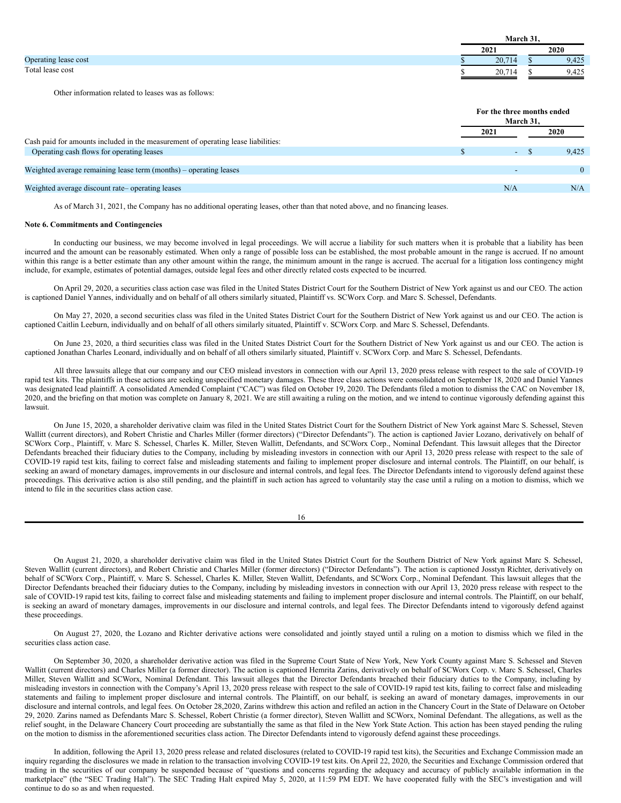|                      |      | March.       |                              |  |  |
|----------------------|------|--------------|------------------------------|--|--|
|                      | 2021 |              | 2020                         |  |  |
| Operating lease cost |      | 20,714       | 9,425                        |  |  |
| Total lease cost     |      | 20,714<br>14 | $A \cap \mathcal{L}$<br>,425 |  |  |

**March 31,**

Other information related to leases was as follows:

|                                                                                   |      | For the three months ended<br>March 31, |          |  |  |  |  |  |  |
|-----------------------------------------------------------------------------------|------|-----------------------------------------|----------|--|--|--|--|--|--|
|                                                                                   | 2021 |                                         | 2020     |  |  |  |  |  |  |
| Cash paid for amounts included in the measurement of operating lease liabilities: |      |                                         |          |  |  |  |  |  |  |
| Operating cash flows for operating leases                                         |      | $\sim$                                  | 9.425    |  |  |  |  |  |  |
|                                                                                   |      |                                         |          |  |  |  |  |  |  |
| Weighted average remaining lease term (months) – operating leases                 |      |                                         | $\Omega$ |  |  |  |  |  |  |
|                                                                                   |      |                                         |          |  |  |  |  |  |  |
| Weighted average discount rate – operating leases                                 | N/A  |                                         | N/A      |  |  |  |  |  |  |
|                                                                                   |      |                                         |          |  |  |  |  |  |  |

As of March 31, 2021, the Company has no additional operating leases, other than that noted above, and no financing leases.

### **Note 6. Commitments and Contingencies**

In conducting our business, we may become involved in legal proceedings. We will accrue a liability for such matters when it is probable that a liability has been incurred and the amount can be reasonably estimated. When only a range of possible loss can be established, the most probable amount in the range is accrued. If no amount within this range is a better estimate than any other amount within the range, the minimum amount in the range is accrued. The accrual for a litigation loss contingency might include, for example, estimates of potential damages, outside legal fees and other directly related costs expected to be incurred.

On April 29, 2020, a securities class action case was filed in the United States District Court for the Southern District of New York against us and our CEO. The action is captioned Daniel Yannes, individually and on behalf of all others similarly situated, Plaintiff vs. SCWorx Corp. and Marc S. Schessel, Defendants.

On May 27, 2020, a second securities class was filed in the United States District Court for the Southern District of New York against us and our CEO. The action is captioned Caitlin Leeburn, individually and on behalf of all others similarly situated, Plaintiff v. SCWorx Corp. and Marc S. Schessel, Defendants.

On June 23, 2020, a third securities class was filed in the United States District Court for the Southern District of New York against us and our CEO. The action is captioned Jonathan Charles Leonard, individually and on behalf of all others similarly situated, Plaintiff v. SCWorx Corp. and Marc S. Schessel, Defendants.

All three lawsuits allege that our company and our CEO mislead investors in connection with our April 13, 2020 press release with respect to the sale of COVID-19 rapid test kits. The plaintiffs in these actions are seeking unspecified monetary damages. These three class actions were consolidated on September 18, 2020 and Daniel Yannes was designated lead plaintiff. A consolidated Amended Complaint ("CAC") was filed on October 19, 2020. The Defendants filed a motion to dismiss the CAC on November 18, 2020, and the briefing on that motion was complete on January 8, 2021. We are still awaiting a ruling on the motion, and we intend to continue vigorously defending against this lawsuit.

On June 15, 2020, a shareholder derivative claim was filed in the United States District Court for the Southern District of New York against Marc S. Schessel, Steven Wallitt (current directors), and Robert Christie and Charles Miller (former directors) ("Director Defendants"). The action is captioned Javier Lozano, derivatively on behalf of SCWorx Corp., Plaintiff, v. Marc S. Schessel, Charles K. Miller, Steven Wallitt, Defendants, and SCWorx Corp., Nominal Defendant. This lawsuit alleges that the Director Defendants breached their fiduciary duties to the Company, including by misleading investors in connection with our April 13, 2020 press release with respect to the sale of COVID-19 rapid test kits, failing to correct false and misleading statements and failing to implement proper disclosure and internal controls. The Plaintiff, on our behalf, is seeking an award of monetary damages, improvements in our disclosure and internal controls, and legal fees. The Director Defendants intend to vigorously defend against these proceedings. This derivative action is also still pending, and the plaintiff in such action has agreed to voluntarily stay the case until a ruling on a motion to dismiss, which we intend to file in the securities class action case.

On August 21, 2020, a shareholder derivative claim was filed in the United States District Court for the Southern District of New York against Marc S. Schessel, Steven Wallitt (current directors), and Robert Christie and Charles Miller (former directors) ("Director Defendants"). The action is captioned Josstyn Richter, derivatively on behalf of SCWorx Corp., Plaintiff, v. Marc S. Schessel, Charles K. Miller, Steven Wallitt, Defendants, and SCWorx Corp., Nominal Defendant. This lawsuit alleges that the Director Defendants breached their fiduciary duties to the Company, including by misleading investors in connection with our April 13, 2020 press release with respect to the sale of COVID-19 rapid test kits, failing to correct false and misleading statements and failing to implement proper disclosure and internal controls. The Plaintiff, on our behalf, is seeking an award of monetary damages, improvements in our disclosure and internal controls, and legal fees. The Director Defendants intend to vigorously defend against these proceedings.

On August 27, 2020, the Lozano and Richter derivative actions were consolidated and jointly stayed until a ruling on a motion to dismiss which we filed in the securities class action case.

On September 30, 2020, a shareholder derivative action was filed in the Supreme Court State of New York, New York County against Marc S. Schessel and Steven Wallitt (current directors) and Charles Miller (a former director). The action is captioned Hemrita Zarins, derivatively on behalf of SCWorx Corp. v. Marc S. Schessel, Charles Miller, Steven Wallitt and SCWorx, Nominal Defendant. This lawsuit alleges that the Director Defendants breached their fiduciary duties to the Company, including by misleading investors in connection with the Company's April 13, 2020 press release with respect to the sale of COVID-19 rapid test kits, failing to correct false and misleading statements and failing to implement proper disclosure and internal controls. The Plaintiff, on our behalf, is seeking an award of monetary damages, improvements in our disclosure and internal controls, and legal fees. On October 28,2020, Zarins withdrew this action and refiled an action in the Chancery Court in the State of Delaware on October 29, 2020. Zarins named as Defendants Marc S. Schessel, Robert Christie (a former director), Steven Wallitt and SCWorx, Nominal Defendant. The allegations, as well as the relief sought, in the Delaware Chancery Court proceeding are substantially the same as that filed in the New York State Action. This action has been stayed pending the ruling on the motion to dismiss in the aforementioned securities class action. The Director Defendants intend to vigorously defend against these proceedings.

In addition, following the April 13, 2020 press release and related disclosures (related to COVID-19 rapid test kits), the Securities and Exchange Commission made an inquiry regarding the disclosures we made in relation to the transaction involving COVID-19 test kits. On April 22, 2020, the Securities and Exchange Commission ordered that trading in the securities of our company be suspended because of "questions and concerns regarding the adequacy and accuracy of publicly available information in the marketplace" (the "SEC Trading Halt"). The SEC Trading Halt expired May 5, 2020, at 11:59 PM EDT. We have cooperated fully with the SEC's investigation and will continue to do so as and when requested.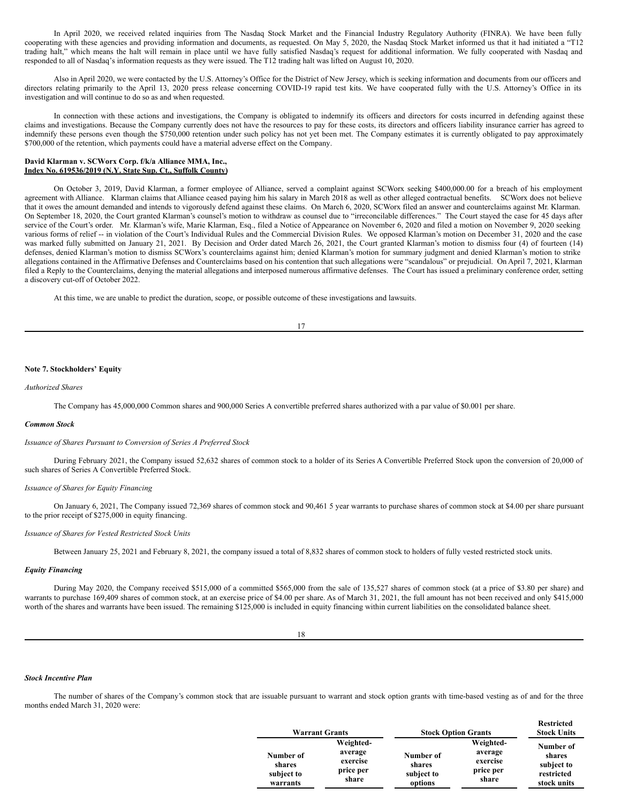In April 2020, we received related inquiries from The Nasdaq Stock Market and the Financial Industry Regulatory Authority (FINRA). We have been fully cooperating with these agencies and providing information and documents, as requested. On May 5, 2020, the Nasdaq Stock Market informed us that it had initiated a "T12 trading halt," which means the halt will remain in place until we have fully satisfied Nasdaq's request for additional information. We fully cooperated with Nasdaq and responded to all of Nasdaq's information requests as they were issued. The T12 trading halt was lifted on August 10, 2020.

Also in April 2020, we were contacted by the U.S. Attorney's Office for the District of New Jersey, which is seeking information and documents from our officers and directors relating primarily to the April 13, 2020 press release concerning COVID-19 rapid test kits. We have cooperated fully with the U.S. Attorney's Office in its investigation and will continue to do so as and when requested.

In connection with these actions and investigations, the Company is obligated to indemnify its officers and directors for costs incurred in defending against these claims and investigations. Because the Company currently does not have the resources to pay for these costs, its directors and officers liability insurance carrier has agreed to indemnify these persons even though the \$750,000 retention under such policy has not yet been met. The Company estimates it is currently obligated to pay approximately \$700,000 of the retention, which payments could have a material adverse effect on the Company.

## **David Klarman v. SCWorx Corp. f/k/a Alliance MMA, Inc., Index No. 619536/2019 (N.Y. State Sup. Ct., Suffolk County)**

On October 3, 2019, David Klarman, a former employee of Alliance, served a complaint against SCWorx seeking \$400,000.00 for a breach of his employment agreement with Alliance. Klarman claims that Alliance ceased paying him his salary in March 2018 as well as other alleged contractual benefits. SCWorx does not believe that it owes the amount demanded and intends to vigorously defend against these claims. On March 6, 2020, SCWorx filed an answer and counterclaims against Mr. Klarman. On September 18, 2020, the Court granted Klarman's counsel's motion to withdraw as counsel due to "irreconcilable differences." The Court stayed the case for 45 days after service of the Court's order. Mr. Klarman's wife, Marie Klarman, Esq., filed a Notice of Appearance on November 6, 2020 and filed a motion on November 9, 2020 seeking various forms of relief -- in violation of the Court's Individual Rules and the Commercial Division Rules. We opposed Klarman's motion on December 31, 2020 and the case was marked fully submitted on January 21, 2021. By Decision and Order dated March 26, 2021, the Court granted Klarman's motion to dismiss four (4) of fourteen (14) defenses, denied Klarman's motion to dismiss SCWorx's counterclaims against him; denied Klarman's motion for summary judgment and denied Klarman's motion to strike allegations contained in the Affirmative Defenses and Counterclaims based on his contention that such allegations were "scandalous" or prejudicial. On April 7, 2021, Klarman filed a Reply to the Counterclaims, denying the material allegations and interposed numerous affirmative defenses. The Court has issued a preliminary conference order, setting a discovery cut-off of October 2022.

At this time, we are unable to predict the duration, scope, or possible outcome of these investigations and lawsuits.

#### **Note 7. Stockholders' Equity**

*Authorized Shares*

The Company has 45,000,000 Common shares and 900,000 Series A convertible preferred shares authorized with a par value of \$0.001 per share.

#### *Common Stock*

# *Issuance of Shares Pursuant to Conversion of Series A Preferred Stock*

During February 2021, the Company issued 52,632 shares of common stock to a holder of its Series A Convertible Preferred Stock upon the conversion of 20,000 of such shares of Series A Convertible Preferred Stock.

### *Issuance of Shares for Equity Financing*

On January 6, 2021, The Company issued 72,369 shares of common stock and 90,461 5 year warrants to purchase shares of common stock at \$4.00 per share pursuant to the prior receipt of \$275,000 in equity financing.

# *Issuance of Shares for Vested Restricted Stock Units*

Between January 25, 2021 and February 8, 2021, the company issued a total of 8,832 shares of common stock to holders of fully vested restricted stock units.

### *Equity Financing*

During May 2020, the Company received \$515,000 of a committed \$565,000 from the sale of 135,527 shares of common stock (at a price of \$3.80 per share) and warrants to purchase 169,409 shares of common stock, at an exercise price of \$4.00 per share. As of March 31, 2021, the full amount has not been received and only \$415,000 worth of the shares and warrants have been issued. The remaining \$125,000 is included in equity financing within current liabilities on the consolidated balance sheet.

| I<br>×<br>w<br>۹ |  |
|------------------|--|
|                  |  |

#### *Stock Incentive Plan*

The number of shares of the Company's common stock that are issuable pursuant to warrant and stock option grants with time-based vesting as of and for the three months ended March 31, 2020 were:

| <b>Warrant Grants</b>                         |                                                        | <b>Stock Option Grants</b>                   |                                                        | <b>Stock Units</b>                                             |
|-----------------------------------------------|--------------------------------------------------------|----------------------------------------------|--------------------------------------------------------|----------------------------------------------------------------|
| Number of<br>shares<br>subject to<br>warrants | Weighted-<br>average<br>exercise<br>price per<br>share | Number of<br>shares<br>subject to<br>options | Weighted-<br>average<br>exercise<br>price per<br>share | Number of<br>shares<br>subject to<br>restricted<br>stock units |

**Restricted**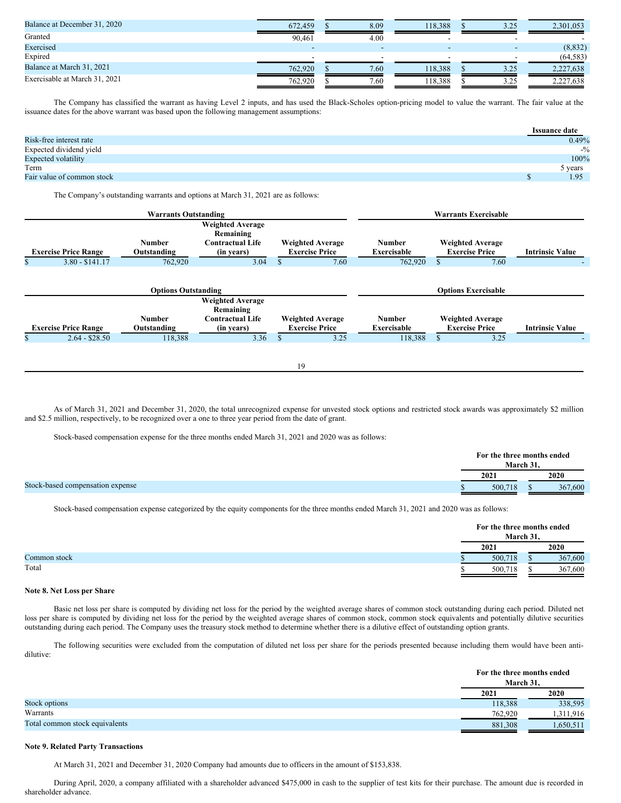| Balance at December 31, 2020  | 672,459 | 8.09 | 118.388                  | 3.25 | 2,301,053 |
|-------------------------------|---------|------|--------------------------|------|-----------|
| Granted                       | 90.461  | 4.00 | -                        |      |           |
| Exercised                     |         |      | $\overline{\phantom{0}}$ |      | (8,832)   |
| Expired                       |         |      | $\overline{\phantom{0}}$ |      | (64, 583) |
| Balance at March 31, 2021     | 762,920 | 7.60 | 118.388                  | 3.25 | 2.227.638 |
| Exercisable at March 31, 2021 | 762,920 | 7.60 | 118.388                  | 3.25 | 2.227.638 |

The Company has classified the warrant as having Level 2 inputs, and has used the Black-Scholes option-pricing model to value the warrant. The fair value at the issuance dates for the above warrant was based upon the following management assumptions:

|                            | <b>Issuance date</b> |
|----------------------------|----------------------|
| Risk-free interest rate    | 0.49%                |
| Expected dividend yield    | $-1/2$               |
| Expected volatility        | 100%                 |
| Term                       | 5 years              |
| Fair value of common stock | 1.95                 |
|                            |                      |

The Company's outstanding warrants and options at March 31, 2021 are as follows:

|                             | <b>Warrants Outstanding</b>  |                                                                               |                                                  |                              | <b>Warrants Exercisable</b>                      |                        |
|-----------------------------|------------------------------|-------------------------------------------------------------------------------|--------------------------------------------------|------------------------------|--------------------------------------------------|------------------------|
| <b>Exercise Price Range</b> | <b>Number</b><br>Outstanding | <b>Weighted Average</b><br>Remaining<br><b>Contractual Life</b><br>(in years) | <b>Weighted Average</b><br><b>Exercise Price</b> | <b>Number</b><br>Exercisable | <b>Weighted Average</b><br><b>Exercise Price</b> | <b>Intrinsic Value</b> |
| $3.80 - $141.17$<br>\$      | 762,920                      | 3.04                                                                          | 7.60                                             | 762,920                      | 7.60                                             |                        |
|                             | <b>Options Outstanding</b>   | <b>Weighted Average</b><br>Remaining                                          |                                                  |                              | <b>Options Exercisable</b>                       |                        |
|                             | <b>Number</b>                | <b>Contractual Life</b>                                                       | <b>Weighted Average</b>                          | <b>Number</b>                | <b>Weighted Average</b>                          |                        |
| <b>Exercise Price Range</b> | Outstanding                  | (in years)                                                                    | <b>Exercise Price</b>                            | <b>Exercisable</b>           | <b>Exercise Price</b>                            | <b>Intrinsic Value</b> |
| \$<br>$2.64 - $28.50$       | 118,388                      | 3.36                                                                          | 3.25<br>\$.                                      | 118,388                      | S<br>3.25                                        |                        |
|                             |                              |                                                                               | 19                                               |                              |                                                  |                        |

As of March 31, 2021 and December 31, 2020, the total unrecognized expense for unvested stock options and restricted stock awards was approximately \$2 million and \$2.5 million, respectively, to be recognized over a one to three year period from the date of grant.

Stock-based compensation expense for the three months ended March 31, 2021 and 2020 was as follows:

|                                  | For the three months ended |  |         |
|----------------------------------|----------------------------|--|---------|
|                                  | March 31                   |  |         |
|                                  | 2021                       |  | 2020    |
| Stock-based compensation expense | 500.718                    |  | 367,600 |

Stock-based compensation expense categorized by the equity components for the three months ended March 31, 2021 and 2020 was as follows:

|              | For the three months ended | March 31. |         |
|--------------|----------------------------|-----------|---------|
|              | 2021                       |           | 2020    |
| Common stock | 500,7<br>.718              |           | 367,600 |
| Total        | 500.7                      |           | 367,600 |

### **Note 8. Net Loss per Share**

Basic net loss per share is computed by dividing net loss for the period by the weighted average shares of common stock outstanding during each period. Diluted net loss per share is computed by dividing net loss for the period by the weighted average shares of common stock, common stock equivalents and potentially dilutive securities outstanding during each period. The Company uses the treasury stock method to determine whether there is a dilutive effect of outstanding option grants.

The following securities were excluded from the computation of diluted net loss per share for the periods presented because including them would have been antidilutive:

|                                | For the three months ended<br>March 31, |           |
|--------------------------------|-----------------------------------------|-----------|
|                                | 2021                                    | 2020      |
| Stock options                  | 118,388                                 | 338,595   |
| Warrants                       | 762,920                                 | 1,311,916 |
| Total common stock equivalents | 881,308                                 | .650,511  |

### **Note 9. Related Party Transactions**

At March 31, 2021 and December 31, 2020 Company had amounts due to officers in the amount of \$153,838.

During April, 2020, a company affiliated with a shareholder advanced \$475,000 in cash to the supplier of test kits for their purchase. The amount due is recorded in shareholder advance.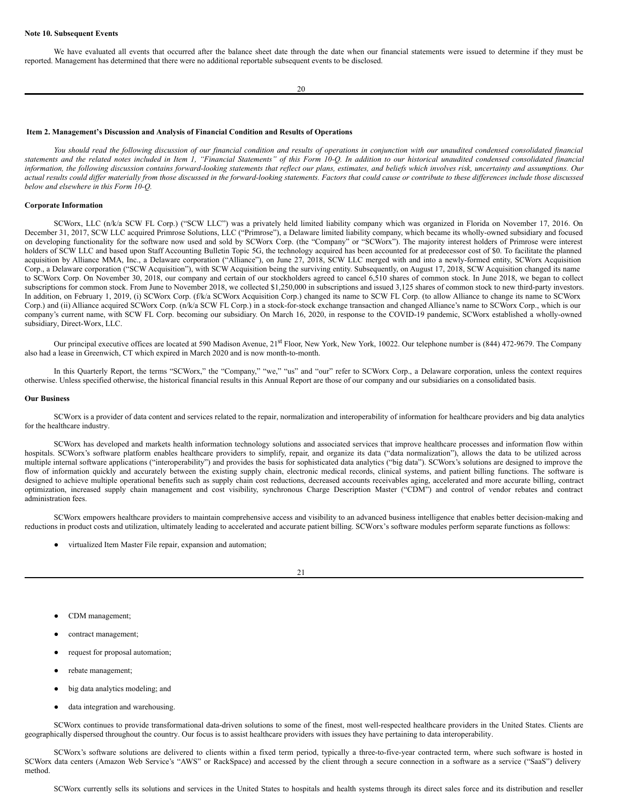### **Note 10. Subsequent Events**

We have evaluated all events that occurred after the balance sheet date through the date when our financial statements were issued to determine if they must be reported. Management has determined that there were no additional reportable subsequent events to be disclosed.

20

### <span id="page-15-0"></span>**Item 2. Management's Discussion and Analysis of Financial Condition and Results of Operations**

You should read the following discussion of our financial condition and results of operations in conjunction with our unaudited condensed consolidated financial statements and the related notes included in Item 1, "Financial Statements" of this Form 10-Q. In addition to our historical unaudited condensed consolidated financial information, the following discussion contains forward-looking statements that reflect our plans, estimates, and beliefs which involves risk, uncertainty and assumptions. Our actual results could differ materially from those discussed in the forward-looking statements. Factors that could cause or contribute to these differences include those discussed *below and elsewhere in this Form 10-Q.*

# **Corporate Information**

SCWorx, LLC (n/k/a SCW FL Corp.) ("SCW LLC") was a privately held limited liability company which was organized in Florida on November 17, 2016. On December 31, 2017, SCW LLC acquired Primrose Solutions, LLC ("Primrose"), a Delaware limited liability company, which became its wholly-owned subsidiary and focused on developing functionality for the software now used and sold by SCWorx Corp. (the "Company" or "SCWorx"). The majority interest holders of Primrose were interest holders of SCW LLC and based upon Staff Accounting Bulletin Topic 5G, the technology acquired has been accounted for at predecessor cost of \$0. To facilitate the planned acquisition by Alliance MMA, Inc., a Delaware corporation ("Alliance"), on June 27, 2018, SCW LLC merged with and into a newly-formed entity, SCWorx Acquisition Corp., a Delaware corporation ("SCW Acquisition"), with SCW Acquisition being the surviving entity. Subsequently, on August 17, 2018, SCW Acquisition changed its name to SCWorx Corp. On November 30, 2018, our company and certain of our stockholders agreed to cancel 6,510 shares of common stock. In June 2018, we began to collect subscriptions for common stock. From June to November 2018, we collected \$1,250,000 in subscriptions and issued 3,125 shares of common stock to new third-party investors. In addition, on February 1, 2019, (i) SCWorx Corp. (f/k/a SCWorx Acquisition Corp.) changed its name to SCW FL Corp. (to allow Alliance to change its name to SCWorx Corp.) and (ii) Alliance acquired SCWorx Corp. (n/k/a SCW FL Corp.) in a stock-for-stock exchange transaction and changed Alliance's name to SCWorx Corp., which is our company's current name, with SCW FL Corp. becoming our subsidiary. On March 16, 2020, in response to the COVID-19 pandemic, SCWorx established a wholly-owned subsidiary, Direct-Worx, LLC.

Our principal executive offices are located at 590 Madison Avenue, 21<sup>st</sup> Floor, New York, New York, 10022. Our telephone number is (844) 472-9679. The Company also had a lease in Greenwich, CT which expired in March 2020 and is now month-to-month.

In this Quarterly Report, the terms "SCWorx," the "Company," "we," "us" and "our" refer to SCWorx Corp., a Delaware corporation, unless the context requires otherwise. Unless specified otherwise, the historical financial results in this Annual Report are those of our company and our subsidiaries on a consolidated basis.

#### **Our Business**

SCWorx is a provider of data content and services related to the repair, normalization and interoperability of information for healthcare providers and big data analytics for the healthcare industry.

SCWorx has developed and markets health information technology solutions and associated services that improve healthcare processes and information flow within hospitals. SCWorx's software platform enables healthcare providers to simplify, repair, and organize its data ("data normalization"), allows the data to be utilized across multiple internal software applications ("interoperability") and provides the basis for sophisticated data analytics ("big data"). SCWorx's solutions are designed to improve the flow of information quickly and accurately between the existing supply chain, electronic medical records, clinical systems, and patient billing functions. The software is designed to achieve multiple operational benefits such as supply chain cost reductions, decreased accounts receivables aging, accelerated and more accurate billing, contract optimization, increased supply chain management and cost visibility, synchronous Charge Description Master ("CDM") and control of vendor rebates and contract administration fees.

SCWorx empowers healthcare providers to maintain comprehensive access and visibility to an advanced business intelligence that enables better decision-making and reductions in product costs and utilization, ultimately leading to accelerated and accurate patient billing. SCWorx's software modules perform separate functions as follows:

virtualized Item Master File repair, expansion and automation;

- CDM management;
- contract management;
- request for proposal automation;
- rebate management;
- big data analytics modeling; and
- data integration and warehousing.

SCWorx continues to provide transformational data-driven solutions to some of the finest, most well-respected healthcare providers in the United States. Clients are geographically dispersed throughout the country. Our focus is to assist healthcare providers with issues they have pertaining to data interoperability.

SCWorx's software solutions are delivered to clients within a fixed term period, typically a three-to-five-year contracted term, where such software is hosted in SCWorx data centers (Amazon Web Service's "AWS" or RackSpace) and accessed by the client through a secure connection in a software as a service ("SaaS") delivery method.

SCWorx currently sells its solutions and services in the United States to hospitals and health systems through its direct sales force and its distribution and reseller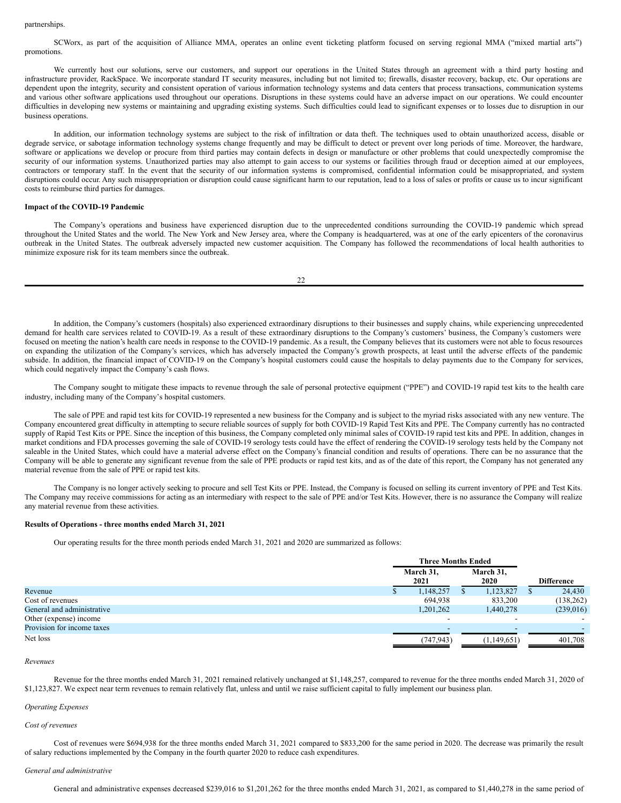#### partnerships.

SCWorx, as part of the acquisition of Alliance MMA, operates an online event ticketing platform focused on serving regional MMA ("mixed martial arts") promotions.

We currently host our solutions, serve our customers, and support our operations in the United States through an agreement with a third party hosting and infrastructure provider, RackSpace. We incorporate standard IT security measures, including but not limited to; firewalls, disaster recovery, backup, etc. Our operations are dependent upon the integrity, security and consistent operation of various information technology systems and data centers that process transactions, communication systems and various other software applications used throughout our operations. Disruptions in these systems could have an adverse impact on our operations. We could encounter difficulties in developing new systems or maintaining and upgrading existing systems. Such difficulties could lead to significant expenses or to losses due to disruption in our business operations.

In addition, our information technology systems are subject to the risk of infiltration or data theft. The techniques used to obtain unauthorized access, disable or degrade service, or sabotage information technology systems change frequently and may be difficult to detect or prevent over long periods of time. Moreover, the hardware, software or applications we develop or procure from third parties may contain defects in design or manufacture or other problems that could unexpectedly compromise the security of our information systems. Unauthorized parties may also attempt to gain access to our systems or facilities through fraud or deception aimed at our employees, contractors or temporary staff. In the event that the security of our information systems is compromised, confidential information could be misappropriated, and system disruptions could occur. Any such misappropriation or disruption could cause significant harm to our reputation, lead to a loss of sales or profits or cause us to incur significant costs to reimburse third parties for damages.

### **Impact of the COVID-19 Pandemic**

The Company's operations and business have experienced disruption due to the unprecedented conditions surrounding the COVID-19 pandemic which spread throughout the United States and the world. The New York and New Jersey area, where the Company is headquartered, was at one of the early epicenters of the coronavirus outbreak in the United States. The outbreak adversely impacted new customer acquisition. The Company has followed the recommendations of local health authorities to minimize exposure risk for its team members since the outbreak.

 $22$ 

In addition, the Company's customers (hospitals) also experienced extraordinary disruptions to their businesses and supply chains, while experiencing unprecedented demand for health care services related to COVID-19. As a result of these extraordinary disruptions to the Company's customers' business, the Company's customers were focused on meeting the nation's health care needs in response to the COVID-19 pandemic. As a result, the Company believes that its customers were not able to focus resources on expanding the utilization of the Company's services, which has adversely impacted the Company's growth prospects, at least until the adverse effects of the pandemic subside. In addition, the financial impact of COVID-19 on the Company's hospital customers could cause the hospitals to delay payments due to the Company for services, which could negatively impact the Company's cash flows.

The Company sought to mitigate these impacts to revenue through the sale of personal protective equipment ("PPE") and COVID-19 rapid test kits to the health care industry, including many of the Company's hospital customers.

The sale of PPE and rapid test kits for COVID-19 represented a new business for the Company and is subject to the myriad risks associated with any new venture. The Company encountered great difficulty in attempting to secure reliable sources of supply for both COVID-19 Rapid Test Kits and PPE. The Company currently has no contracted supply of Rapid Test Kits or PPE. Since the inception of this business, the Company completed only minimal sales of COVID-19 rapid test kits and PPE. In addition, changes in market conditions and FDA processes governing the sale of COVID-19 serology tests could have the effect of rendering the COVID-19 serology tests held by the Company not saleable in the United States, which could have a material adverse effect on the Company's financial condition and results of operations. There can be no assurance that the Company will be able to generate any significant revenue from the sale of PPE products or rapid test kits, and as of the date of this report, the Company has not generated any material revenue from the sale of PPE or rapid test kits.

The Company is no longer actively seeking to procure and sell Test Kits or PPE. Instead, the Company is focused on selling its current inventory of PPE and Test Kits. The Company may receive commissions for acting as an intermediary with respect to the sale of PPE and/or Test Kits. However, there is no assurance the Company will realize any material revenue from these activities.

# **Results of Operations - three months ended March 31, 2021**

Our operating results for the three month periods ended March 31, 2021 and 2020 are summarized as follows:

|                            |                   | <b>Three Months Ended</b> |                          |  |                          |
|----------------------------|-------------------|---------------------------|--------------------------|--|--------------------------|
|                            | March 31,<br>2021 |                           | March 31,<br>2020        |  | <b>Difference</b>        |
| Revenue                    | 1,148,257         |                           | 1,123,827                |  | 24,430                   |
| Cost of revenues           | 694,938           |                           | 833,200                  |  | (138, 262)               |
| General and administrative | 1,201,262         |                           | 1,440,278                |  | (239,016)                |
| Other (expense) income     |                   | -                         | $\overline{\phantom{a}}$ |  | $\overline{\phantom{a}}$ |
| Provision for income taxes |                   |                           |                          |  |                          |
| Net loss                   | (747, 943)        |                           | (1,149,651)              |  | 401,708                  |

### *Revenues*

Revenue for the three months ended March 31, 2021 remained relatively unchanged at \$1,148,257, compared to revenue for the three months ended March 31, 2020 of \$1,123,827. We expect near term revenues to remain relatively flat, unless and until we raise sufficient capital to fully implement our business plan.

# *Operating Expenses*

#### *Cost of revenues*

Cost of revenues were \$694,938 for the three months ended March 31, 2021 compared to \$833,200 for the same period in 2020. The decrease was primarily the result of salary reductions implemented by the Company in the fourth quarter 2020 to reduce cash expenditures.

### *General and administrative*

General and administrative expenses decreased \$239,016 to \$1,201,262 for the three months ended March 31, 2021, as compared to \$1,440,278 in the same period of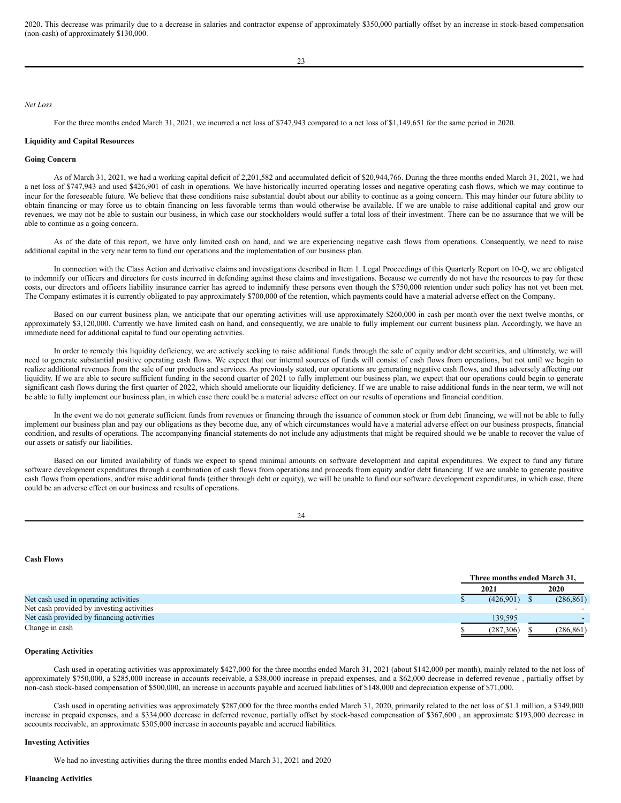2020. This decrease was primarily due to a decrease in salaries and contractor expense of approximately \$350,000 partially offset by an increase in stock-based compensation (non-cash) of approximately \$130,000.

23

*Net Loss*

For the three months ended March 31, 2021, we incurred a net loss of \$747,943 compared to a net loss of \$1,149,651 for the same period in 2020.

#### **Liquidity and Capital Resources**

### **Going Concern**

As of March 31, 2021, we had a working capital deficit of 2,201,582 and accumulated deficit of \$20,944,766. During the three months ended March 31, 2021, we had a net loss of \$747,943 and used \$426,901 of cash in operations. We have historically incurred operating losses and negative operating cash flows, which we may continue to incur for the foreseeable future. We believe that these conditions raise substantial doubt about our ability to continue as a going concern. This may hinder our future ability to obtain financing or may force us to obtain financing on less favorable terms than would otherwise be available. If we are unable to raise additional capital and grow our revenues, we may not be able to sustain our business, in which case our stockholders would suffer a total loss of their investment. There can be no assurance that we will be able to continue as a going concern.

As of the date of this report, we have only limited cash on hand, and we are experiencing negative cash flows from operations. Consequently, we need to raise additional capital in the very near term to fund our operations and the implementation of our business plan.

In connection with the Class Action and derivative claims and investigations described in Item 1. Legal Proceedings of this Quarterly Report on 10-Q, we are obligated to indemnify our officers and directors for costs incurred in defending against these claims and investigations. Because we currently do not have the resources to pay for these costs, our directors and officers liability insurance carrier has agreed to indemnify these persons even though the \$750,000 retention under such policy has not yet been met. The Company estimates it is currently obligated to pay approximately \$700,000 of the retention, which payments could have a material adverse effect on the Company.

Based on our current business plan, we anticipate that our operating activities will use approximately \$260,000 in cash per month over the next twelve months, or approximately \$3,120,000. Currently we have limited cash on hand, and consequently, we are unable to fully implement our current business plan. Accordingly, we have an immediate need for additional capital to fund our operating activities.

In order to remedy this liquidity deficiency, we are actively seeking to raise additional funds through the sale of equity and/or debt securities, and ultimately, we will need to generate substantial positive operating cash flows. We expect that our internal sources of funds will consist of cash flows from operations, but not until we begin to realize additional revenues from the sale of our products and services. As previously stated, our operations are generating negative cash flows, and thus adversely affecting our liquidity. If we are able to secure sufficient funding in the second quarter of 2021 to fully implement our business plan, we expect that our operations could begin to generate significant cash flows during the first quarter of 2022, which should ameliorate our liquidity deficiency. If we are unable to raise additional funds in the near term, we will not be able to fully implement our business plan, in which case there could be a material adverse effect on our results of operations and financial condition.

In the event we do not generate sufficient funds from revenues or financing through the issuance of common stock or from debt financing, we will not be able to fully implement our business plan and pay our obligations as they become due, any of which circumstances would have a material adverse effect on our business prospects, financial condition, and results of operations. The accompanying financial statements do not include any adjustments that might be required should we be unable to recover the value of our assets or satisfy our liabilities.

Based on our limited availability of funds we expect to spend minimal amounts on software development and capital expenditures. We expect to fund any future software development expenditures through a combination of cash flows from operations and proceeds from equity and/or debt financing. If we are unable to generate positive cash flows from operations, and/or raise additional funds (either through debt or equity), we will be unable to fund our software development expenditures, in which case, there could be an adverse effect on our business and results of operations.

| × |  |
|---|--|
| I |  |

### **Cash Flows**

|                                           | Three months ended March 31. |  |            |
|-------------------------------------------|------------------------------|--|------------|
|                                           | 2021                         |  | 2020       |
| Net cash used in operating activities     | (426.901)                    |  | (286, 861) |
| Net cash provided by investing activities |                              |  |            |
| Net cash provided by financing activities | 139.595                      |  |            |
| Change in cash                            | (287.306)                    |  | (286, 861) |

# **Operating Activities**

Cash used in operating activities was approximately \$427,000 for the three months ended March 31, 2021 (about \$142,000 per month), mainly related to the net loss of approximately \$750,000, a \$285,000 increase in accounts receivable, a \$38,000 increase in prepaid expenses, and a \$62,000 decrease in deferred revenue , partially offset by non-cash stock-based compensation of \$500,000, an increase in accounts payable and accrued liabilities of \$148,000 and depreciation expense of \$71,000.

Cash used in operating activities was approximately \$287,000 for the three months ended March 31, 2020, primarily related to the net loss of \$1.1 million, a \$349,000 increase in prepaid expenses, and a \$334,000 decrease in deferred revenue, partially offset by stock-based compensation of \$367,600 , an approximate \$193,000 decrease in accounts receivable, an approximate \$305,000 increase in accounts payable and accrued liabilities.

### **Investing Activities**

We had no investing activities during the three months ended March 31, 2021 and 2020

### **Financing Activities**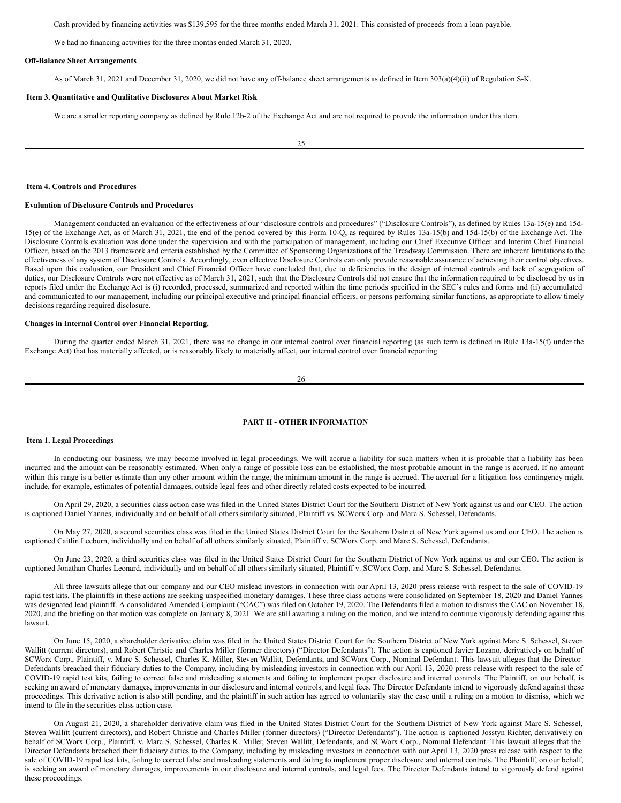Cash provided by financing activities was \$139,595 for the three months ended March 31, 2021. This consisted of proceeds from a loan payable.

We had no financing activities for the three months ended March 31, 2020.

#### **Off-Balance Sheet Arrangements**

As of March 31, 2021 and December 31, 2020, we did not have any off-balance sheet arrangements as defined in Item 303(a)(4)(ii) of Regulation S-K.

#### <span id="page-18-0"></span>**Item 3. Quantitative and Qualitative Disclosures About Market Risk**

We are a smaller reporting company as defined by Rule 12b-2 of the Exchange Act and are not required to provide the information under this item.

#### <span id="page-18-1"></span>**Item 4. Controls and Procedures**

#### **Evaluation of Disclosure Controls and Procedures**

Management conducted an evaluation of the effectiveness of our "disclosure controls and procedures" ("Disclosure Controls"), as defined by Rules 13a-15(e) and 15d-15(e) of the Exchange Act, as of March 31, 2021, the end of the period covered by this Form 10-Q, as required by Rules 13a-15(b) and 15d-15(b) of the Exchange Act. The Disclosure Controls evaluation was done under the supervision and with the participation of management, including our Chief Executive Officer and Interim Chief Financial Officer, based on the 2013 framework and criteria established by the Committee of Sponsoring Organizations of the Treadway Commission. There are inherent limitations to the effectiveness of any system of Disclosure Controls. Accordingly, even effective Disclosure Controls can only provide reasonable assurance of achieving their control objectives. Based upon this evaluation, our President and Chief Financial Officer have concluded that, due to deficiencies in the design of internal controls and lack of segregation of duties, our Disclosure Controls were not effective as of March 31, 2021, such that the Disclosure Controls did not ensure that the information required to be disclosed by us in reports filed under the Exchange Act is (i) recorded, processed, summarized and reported within the time periods specified in the SEC's rules and forms and (ii) accumulated and communicated to our management, including our principal executive and principal financial officers, or persons performing similar functions, as appropriate to allow timely decisions regarding required disclosure.

### **Changes in Internal Control over Financial Reporting.**

During the quarter ended March 31, 2021, there was no change in our internal control over financial reporting (as such term is defined in Rule 13a-15(f) under the Exchange Act) that has materially affected, or is reasonably likely to materially affect, our internal control over financial reporting.

| ×<br>I<br>I<br>×<br>٧ |
|-----------------------|
|-----------------------|

### <span id="page-18-2"></span>**PART II - OTHER INFORMATION**

#### <span id="page-18-3"></span>**Item 1. Legal Proceedings**

In conducting our business, we may become involved in legal proceedings. We will accrue a liability for such matters when it is probable that a liability has been incurred and the amount can be reasonably estimated. When only a range of possible loss can be established, the most probable amount in the range is accrued. If no amount within this range is a better estimate than any other amount within the range, the minimum amount in the range is accrued. The accrual for a litigation loss contingency might include, for example, estimates of potential damages, outside legal fees and other directly related costs expected to be incurred.

On April 29, 2020, a securities class action case was filed in the United States District Court for the Southern District of New York against us and our CEO. The action is captioned Daniel Yannes, individually and on behalf of all others similarly situated, Plaintiff vs. SCWorx Corp. and Marc S. Schessel, Defendants.

On May 27, 2020, a second securities class was filed in the United States District Court for the Southern District of New York against us and our CEO. The action is captioned Caitlin Leeburn, individually and on behalf of all others similarly situated, Plaintiff v. SCWorx Corp. and Marc S. Schessel, Defendants.

On June 23, 2020, a third securities class was filed in the United States District Court for the Southern District of New York against us and our CEO. The action is captioned Jonathan Charles Leonard, individually and on behalf of all others similarly situated, Plaintiff v. SCWorx Corp. and Marc S. Schessel, Defendants.

All three lawsuits allege that our company and our CEO mislead investors in connection with our April 13, 2020 press release with respect to the sale of COVID-19 rapid test kits. The plaintiffs in these actions are seeking unspecified monetary damages. These three class actions were consolidated on September 18, 2020 and Daniel Yannes was designated lead plaintiff. A consolidated Amended Complaint ("CAC") was filed on October 19, 2020. The Defendants filed a motion to dismiss the CAC on November 18, 2020, and the briefing on that motion was complete on January 8, 2021. We are still awaiting a ruling on the motion, and we intend to continue vigorously defending against this lawsuit.

On June 15, 2020, a shareholder derivative claim was filed in the United States District Court for the Southern District of New York against Marc S. Schessel, Steven Wallitt (current directors), and Robert Christie and Charles Miller (former directors) ("Director Defendants"). The action is captioned Javier Lozano, derivatively on behalf of SCWorx Corp., Plaintiff, v. Marc S. Schessel, Charles K. Miller, Steven Wallitt, Defendants, and SCWorx Corp., Nominal Defendant. This lawsuit alleges that the Director Defendants breached their fiduciary duties to the Company, including by misleading investors in connection with our April 13, 2020 press release with respect to the sale of COVID-19 rapid test kits, failing to correct false and misleading statements and failing to implement proper disclosure and internal controls. The Plaintiff, on our behalf, is seeking an award of monetary damages, improvements in our disclosure and internal controls, and legal fees. The Director Defendants intend to vigorously defend against these proceedings. This derivative action is also still pending, and the plaintiff in such action has agreed to voluntarily stay the case until a ruling on a motion to dismiss, which we intend to file in the securities class action case.

On August 21, 2020, a shareholder derivative claim was filed in the United States District Court for the Southern District of New York against Marc S. Schessel, Steven Wallitt (current directors), and Robert Christie and Charles Miller (former directors) ("Director Defendants"). The action is captioned Josstyn Richter, derivatively on behalf of SCWorx Corp., Plaintiff, v. Marc S. Schessel, Charles K. Miller, Steven Wallitt, Defendants, and SCWorx Corp., Nominal Defendant. This lawsuit alleges that the Director Defendants breached their fiduciary duties to the Company, including by misleading investors in connection with our April 13, 2020 press release with respect to the sale of COVID-19 rapid test kits, failing to correct false and misleading statements and failing to implement proper disclosure and internal controls. The Plaintiff, on our behalf, is seeking an award of monetary damages, improvements in our disclosure and internal controls, and legal fees. The Director Defendants intend to vigorously defend against these proceedings.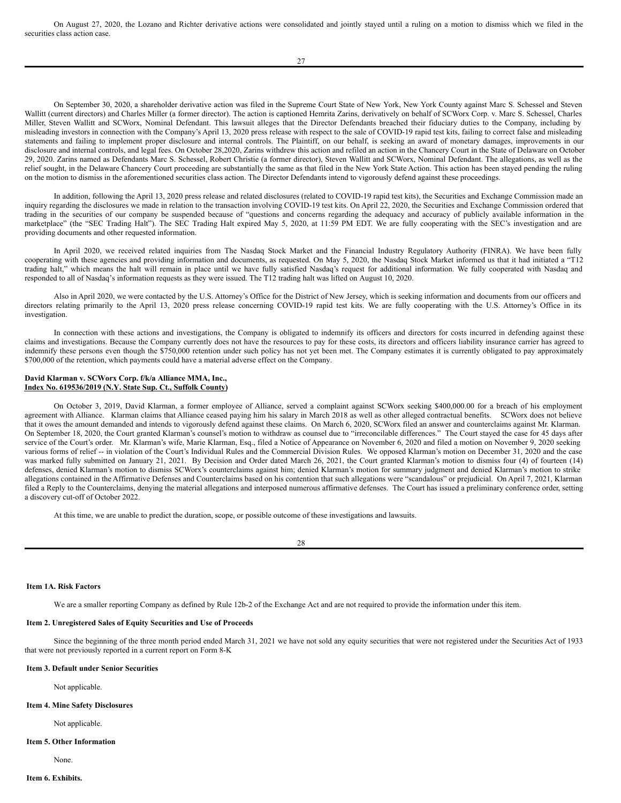On August 27, 2020, the Lozano and Richter derivative actions were consolidated and jointly stayed until a ruling on a motion to dismiss which we filed in the securities class action case.

27

On September 30, 2020, a shareholder derivative action was filed in the Supreme Court State of New York, New York County against Marc S. Schessel and Steven Wallitt (current directors) and Charles Miller (a former director). The action is captioned Hemrita Zarins, derivatively on behalf of SCWorx Corp. v. Marc S. Schessel, Charles Miller, Steven Wallitt and SCWorx, Nominal Defendant. This lawsuit alleges that the Director Defendants breached their fiduciary duties to the Company, including by misleading investors in connection with the Company's April 13, 2020 press release with respect to the sale of COVID-19 rapid test kits, failing to correct false and misleading statements and failing to implement proper disclosure and internal controls. The Plaintiff, on our behalf, is seeking an award of monetary damages, improvements in our disclosure and internal controls, and legal fees. On October 28,2020, Zarins withdrew this action and refiled an action in the Chancery Court in the State of Delaware on October 29, 2020. Zarins named as Defendants Marc S. Schessel, Robert Christie (a former director), Steven Wallitt and SCWorx, Nominal Defendant. The allegations, as well as the relief sought, in the Delaware Chancery Court proceeding are substantially the same as that filed in the New York State Action. This action has been stayed pending the ruling on the motion to dismiss in the aforementioned securities class action. The Director Defendants intend to vigorously defend against these proceedings.

In addition, following the April 13, 2020 press release and related disclosures (related to COVID-19 rapid test kits), the Securities and Exchange Commission made an inquiry regarding the disclosures we made in relation to the transaction involving COVID-19 test kits. On April 22, 2020, the Securities and Exchange Commission ordered that trading in the securities of our company be suspended because of "questions and concerns regarding the adequacy and accuracy of publicly available information in the marketplace" (the "SEC Trading Halt"). The SEC Trading Halt expired May 5, 2020, at 11:59 PM EDT. We are fully cooperating with the SEC's investigation and are providing documents and other requested information.

In April 2020, we received related inquiries from The Nasdaq Stock Market and the Financial Industry Regulatory Authority (FINRA). We have been fully cooperating with these agencies and providing information and documents, as requested. On May 5, 2020, the Nasdaq Stock Market informed us that it had initiated a "T12 trading halt," which means the halt will remain in place until we have fully satisfied Nasdaq's request for additional information. We fully cooperated with Nasdaq and responded to all of Nasdaq's information requests as they were issued. The T12 trading halt was lifted on August 10, 2020.

Also in April 2020, we were contacted by the U.S. Attorney's Office for the District of New Jersey, which is seeking information and documents from our officers and directors relating primarily to the April 13, 2020 press release concerning COVID-19 rapid test kits. We are fully cooperating with the U.S. Attorney's Office in its investigation.

In connection with these actions and investigations, the Company is obligated to indemnify its officers and directors for costs incurred in defending against these claims and investigations. Because the Company currently does not have the resources to pay for these costs, its directors and officers liability insurance carrier has agreed to indemnify these persons even though the \$750,000 retention under such policy has not yet been met. The Company estimates it is currently obligated to pay approximately \$700,000 of the retention, which payments could have a material adverse effect on the Company.

### **David Klarman v. SCWorx Corp. f/k/a Alliance MMA, Inc., Index No. 619536/2019 (N.Y. State Sup. Ct., Suffolk County)**

On October 3, 2019, David Klarman, a former employee of Alliance, served a complaint against SCWorx seeking \$400,000.00 for a breach of his employment agreement with Alliance. Klarman claims that Alliance ceased paying him his salary in March 2018 as well as other alleged contractual benefits. SCWorx does not believe that it owes the amount demanded and intends to vigorously defend against these claims. On March 6, 2020, SCWorx filed an answer and counterclaims against Mr. Klarman. On September 18, 2020, the Court granted Klarman's counsel's motion to withdraw as counsel due to "irreconcilable differences." The Court stayed the case for 45 days after service of the Court's order. Mr. Klarman's wife, Marie Klarman, Esq., filed a Notice of Appearance on November 6, 2020 and filed a motion on November 9, 2020 seeking various forms of relief -- in violation of the Court's Individual Rules and the Commercial Division Rules. We opposed Klarman's motion on December 31, 2020 and the case was marked fully submitted on January 21, 2021. By Decision and Order dated March 26, 2021, the Court granted Klarman's motion to dismiss four (4) of fourteen (14) defenses, denied Klarman's motion to dismiss SCWorx's counterclaims against him; denied Klarman's motion for summary judgment and denied Klarman's motion to strike allegations contained in the Affirmative Defenses and Counterclaims based on his contention that such allegations were "scandalous" or prejudicial. On April 7, 2021, Klarman filed a Reply to the Counterclaims, denying the material allegations and interposed numerous affirmative defenses. The Court has issued a preliminary conference order, setting a discovery cut-off of October 2022.

At this time, we are unable to predict the duration, scope, or possible outcome of these investigations and lawsuits.

28

### <span id="page-19-0"></span>**Item 1A. Risk Factors**

We are a smaller reporting Company as defined by Rule 12b-2 of the Exchange Act and are not required to provide the information under this item.

## <span id="page-19-1"></span>**Item 2. Unregistered Sales of Equity Securities and Use of Proceeds**

Since the beginning of the three month period ended March 31, 2021 we have not sold any equity securities that were not registered under the Securities Act of 1933 that were not previously reported in a current report on Form 8-K

### <span id="page-19-2"></span>**Item 3. Default under Senior Securities**

Not applicable.

### <span id="page-19-3"></span>**Item 4. Mine Safety Disclosures**

Not applicable.

### <span id="page-19-4"></span>**Item 5. Other Information**

<span id="page-19-5"></span>None.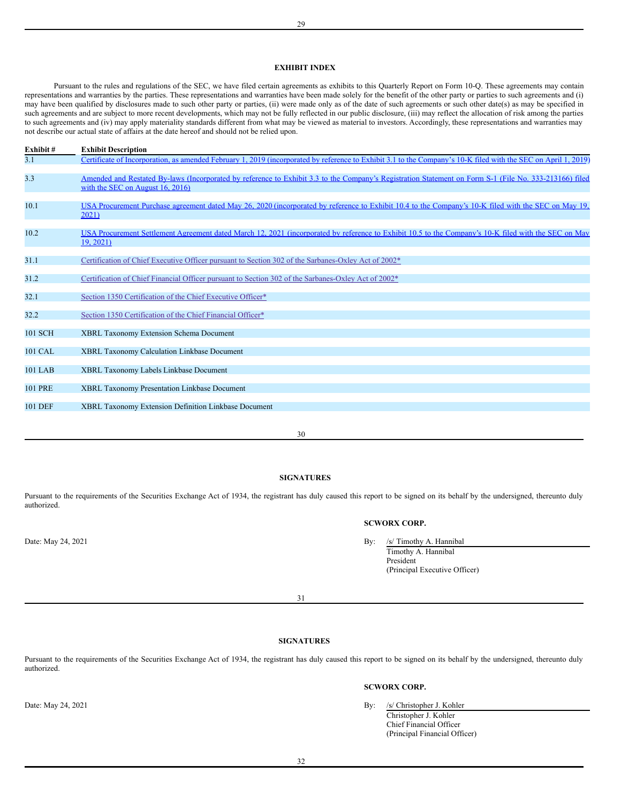# <span id="page-20-1"></span>**EXHIBIT INDEX**

Pursuant to the rules and regulations of the SEC, we have filed certain agreements as exhibits to this Quarterly Report on Form 10-Q. These agreements may contain representations and warranties by the parties. These representations and warranties have been made solely for the benefit of the other party or parties to such agreements and (i) may have been qualified by disclosures made to such other party or parties, (ii) were made only as of the date of such agreements or such other date(s) as may be specified in such agreements and are subject to more recent developments, which may not be fully reflected in our public disclosure, (iii) may reflect the allocation of risk among the parties to such agreements and (iv) may apply materiality standards different from what may be viewed as material to investors. Accordingly, these representations and warranties may not describe our actual state of affairs at the date hereof and should not be relied upon.

| Exhibit #      | <b>Exhibit Description</b>                                                                                                                                                                  |
|----------------|---------------------------------------------------------------------------------------------------------------------------------------------------------------------------------------------|
| 3.1            | Certificate of Incorporation, as amended February 1, 2019 (incorporated by reference to Exhibit 3.1 to the Company's 10-K filed with the SEC on April 1, 2019)                              |
| 3.3            | Amended and Restated By-laws (Incorporated by reference to Exhibit 3.3 to the Company's Registration Statement on Form S-1 (File No. 333-213166) filed<br>with the SEC on August $16, 2016$ |
| 10.1           | USA Procurement Purchase agreement dated May 26, 2020 (incorporated by reference to Exhibit 10.4 to the Company's 10-K filed with the SEC on May 19,<br>2021)                               |
| 10.2           | USA Procurement Settlement Agreement dated March 12, 2021 (incorporated by reference to Exhibit 10.5 to the Company's 10-K filed with the SEC on May<br>19, 2021                            |
| 31.1           | Certification of Chief Executive Officer pursuant to Section 302 of the Sarbanes-Oxley Act of 2002*                                                                                         |
| 31.2           | Certification of Chief Financial Officer pursuant to Section 302 of the Sarbanes-Oxley Act of 2002*                                                                                         |
| 32.1           | Section 1350 Certification of the Chief Executive Officer*                                                                                                                                  |
| 32.2           | Section 1350 Certification of the Chief Financial Officer*                                                                                                                                  |
| <b>101 SCH</b> | <b>XBRL Taxonomy Extension Schema Document</b>                                                                                                                                              |
| <b>101 CAL</b> | <b>XBRL Taxonomy Calculation Linkbase Document</b>                                                                                                                                          |
| 101 LAB        | XBRL Taxonomy Labels Linkbase Document                                                                                                                                                      |
| <b>101 PRE</b> | XBRL Taxonomy Presentation Linkbase Document                                                                                                                                                |
| <b>101 DEF</b> | XBRL Taxonomy Extension Definition Linkbase Document                                                                                                                                        |

30

### <span id="page-20-0"></span>**SIGNATURES**

Pursuant to the requirements of the Securities Exchange Act of 1934, the registrant has duly caused this report to be signed on its behalf by the undersigned, thereunto duly authorized.

# **SCWORX CORP.**

Date: May 24, 2021 By: /s/ Timothy A. Hannibal Timothy A. Hannibal President (Principal Executive Officer)

31

# **SIGNATURES**

Pursuant to the requirements of the Securities Exchange Act of 1934, the registrant has duly caused this report to be signed on its behalf by the undersigned, thereunto duly authorized.

# **SCWORX CORP.**

Date: May 24, 2021 By: /s/ Christopher J. Kohler Christopher J. Kohler Chief Financial Officer (Principal Financial Officer)

32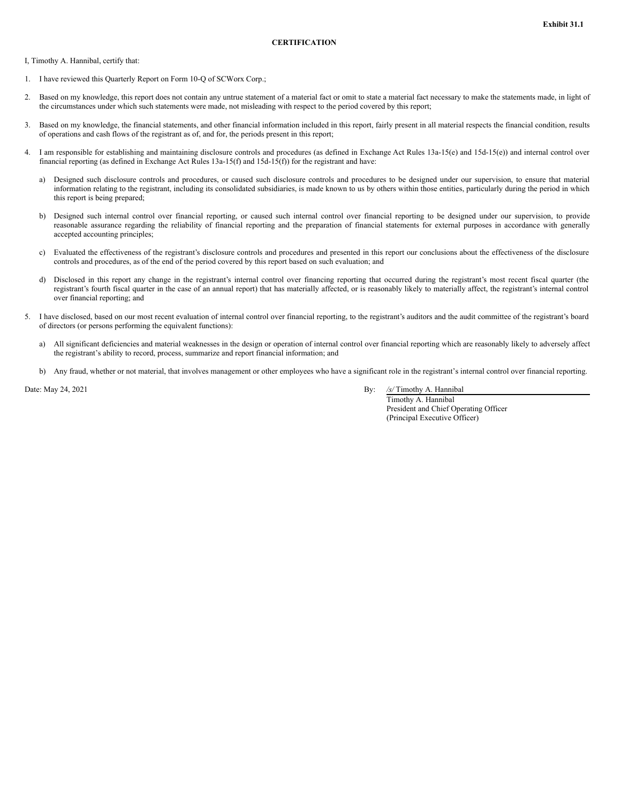<span id="page-21-0"></span>I, Timothy A. Hannibal, certify that:

- 1. I have reviewed this Quarterly Report on Form 10-Q of SCWorx Corp.;
- 2. Based on my knowledge, this report does not contain any untrue statement of a material fact or omit to state a material fact necessary to make the statements made, in light of the circumstances under which such statements were made, not misleading with respect to the period covered by this report;
- 3. Based on my knowledge, the financial statements, and other financial information included in this report, fairly present in all material respects the financial condition, results of operations and cash flows of the registrant as of, and for, the periods present in this report;
- 4. I am responsible for establishing and maintaining disclosure controls and procedures (as defined in Exchange Act Rules 13a-15(e) and 15d-15(e)) and internal control over financial reporting (as defined in Exchange Act Rules 13a-15(f) and 15d-15(f)) for the registrant and have:
	- a) Designed such disclosure controls and procedures, or caused such disclosure controls and procedures to be designed under our supervision, to ensure that material information relating to the registrant, including its consolidated subsidiaries, is made known to us by others within those entities, particularly during the period in which this report is being prepared;
	- b) Designed such internal control over financial reporting, or caused such internal control over financial reporting to be designed under our supervision, to provide reasonable assurance regarding the reliability of financial reporting and the preparation of financial statements for external purposes in accordance with generally accepted accounting principles;
	- c) Evaluated the effectiveness of the registrant's disclosure controls and procedures and presented in this report our conclusions about the effectiveness of the disclosure controls and procedures, as of the end of the period covered by this report based on such evaluation; and
	- d) Disclosed in this report any change in the registrant's internal control over financing reporting that occurred during the registrant's most recent fiscal quarter (the registrant's fourth fiscal quarter in the case of an annual report) that has materially affected, or is reasonably likely to materially affect, the registrant's internal control over financial reporting; and
- 5. I have disclosed, based on our most recent evaluation of internal control over financial reporting, to the registrant's auditors and the audit committee of the registrant's board of directors (or persons performing the equivalent functions):
	- a) All significant deficiencies and material weaknesses in the design or operation of internal control over financial reporting which are reasonably likely to adversely affect the registrant's ability to record, process, summarize and report financial information; and
	- Any fraud, whether or not material, that involves management or other employees who have a significant role in the registrant's internal control over financial reporting.

Date: May 24, 2021 **By:** */s/* Timothy A. Hannibal

Timothy A. Hannibal President and Chief Operating Officer (Principal Executive Officer)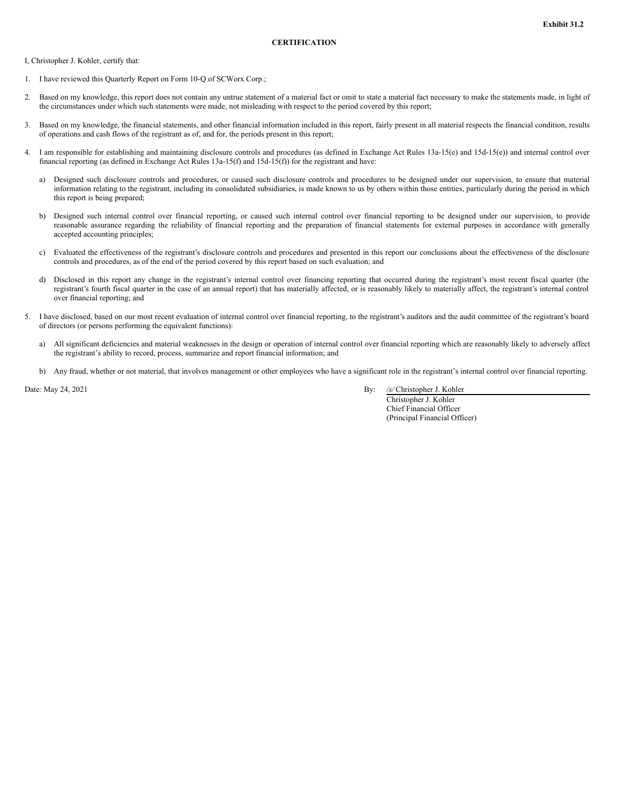<span id="page-22-0"></span>I, Christopher J. Kohler, certify that:

- 1. I have reviewed this Quarterly Report on Form 10-Q of SCWorx Corp.;
- 2. Based on my knowledge, this report does not contain any untrue statement of a material fact or omit to state a material fact necessary to make the statements made, in light of the circumstances under which such statements were made, not misleading with respect to the period covered by this report;
- 3. Based on my knowledge, the financial statements, and other financial information included in this report, fairly present in all material respects the financial condition, results of operations and cash flows of the registrant as of, and for, the periods present in this report;
- 4. I am responsible for establishing and maintaining disclosure controls and procedures (as defined in Exchange Act Rules 13a-15(e) and 15d-15(e)) and internal control over financial reporting (as defined in Exchange Act Rules 13a-15(f) and 15d-15(f)) for the registrant and have:
	- a) Designed such disclosure controls and procedures, or caused such disclosure controls and procedures to be designed under our supervision, to ensure that material information relating to the registrant, including its consolidated subsidiaries, is made known to us by others within those entities, particularly during the period in which this report is being prepared;
	- b) Designed such internal control over financial reporting, or caused such internal control over financial reporting to be designed under our supervision, to provide reasonable assurance regarding the reliability of financial reporting and the preparation of financial statements for external purposes in accordance with generally accepted accounting principles;
	- c) Evaluated the effectiveness of the registrant's disclosure controls and procedures and presented in this report our conclusions about the effectiveness of the disclosure controls and procedures, as of the end of the period covered by this report based on such evaluation; and
	- d) Disclosed in this report any change in the registrant's internal control over financing reporting that occurred during the registrant's most recent fiscal quarter (the registrant's fourth fiscal quarter in the case of an annual report) that has materially affected, or is reasonably likely to materially affect, the registrant's internal control over financial reporting; and
- 5. I have disclosed, based on our most recent evaluation of internal control over financial reporting, to the registrant's auditors and the audit committee of the registrant's board of directors (or persons performing the equivalent functions):
	- a) All significant deficiencies and material weaknesses in the design or operation of internal control over financial reporting which are reasonably likely to adversely affect the registrant's ability to record, process, summarize and report financial information; and
	- Any fraud, whether or not material, that involves management or other employees who have a significant role in the registrant's internal control over financial reporting.

Date: May 24, 2021 By: */s/* Christopher J. Kohler

Christopher J. Kohler Chief Financial Officer (Principal Financial Officer)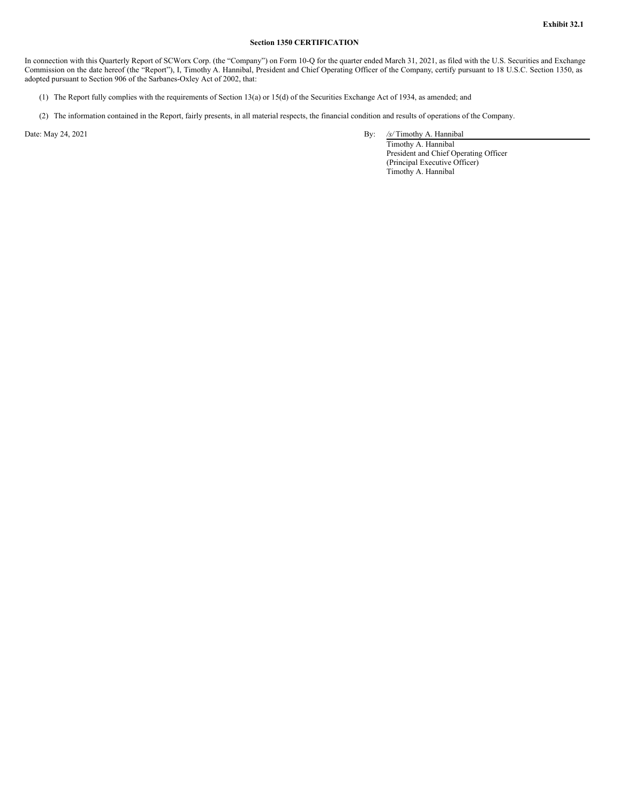# **Section 1350 CERTIFICATION**

<span id="page-23-0"></span>In connection with this Quarterly Report of SCWorx Corp. (the "Company") on Form 10-Q for the quarter ended March 31, 2021, as filed with the U.S. Securities and Exchange Commission on the date hereof (the "Report"), I, Timothy A. Hannibal, President and Chief Operating Officer of the Company, certify pursuant to 18 U.S.C. Section 1350, as adopted pursuant to Section 906 of the Sarbanes-Oxley Act of 2002, that:

- (1) The Report fully complies with the requirements of Section 13(a) or 15(d) of the Securities Exchange Act of 1934, as amended; and
- (2) The information contained in the Report, fairly presents, in all material respects, the financial condition and results of operations of the Company.

Date: May 24, 2021 By: /s/Timothy A. Hannibal

Timothy A. Hannibal President and Chief Operating Officer (Principal Executive Officer) Timothy A. Hannibal